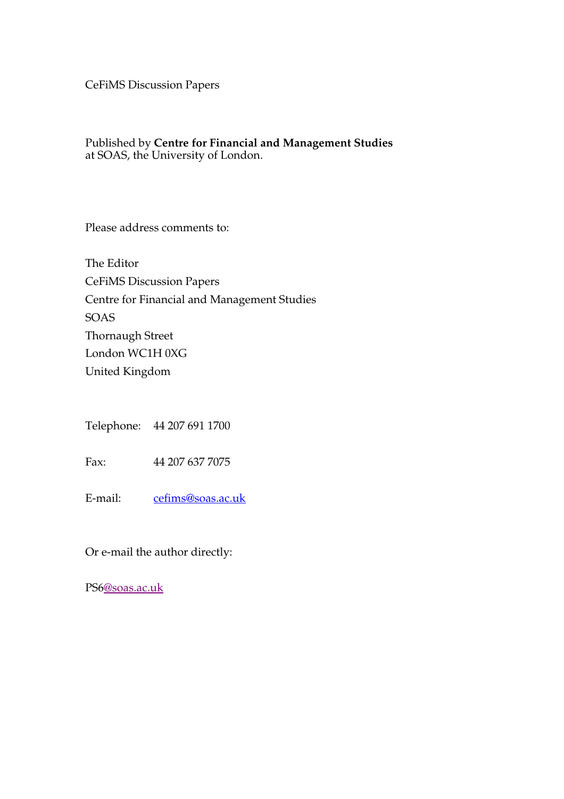## CeFiMS Discussion Papers

Published by **Centre for Financial and Management Studies** at SOAS, the University of London.

Please address comments to:

The Editor CeFiMS Discussion Papers Centre for Financial and Management Studies SOAS Thornaugh Street London WC1H 0XG United Kingdom

Telephone: 44 207 691 1700

Fax: 44 207 637 7075

E-mail: cefims@soas.ac.uk

Or e-mail the author directly:

PS6@soas.ac.uk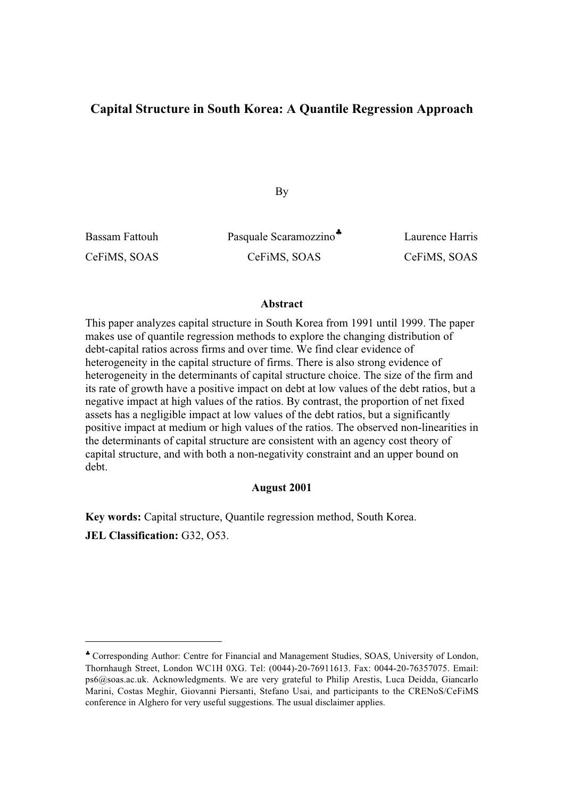# **Capital Structure in South Korea: A Quantile Regression Approach**

By

| Bassam Fattouh | Pasquale Scaramozzino* | Laurence Harris |
|----------------|------------------------|-----------------|
| CeFiMS, SOAS   | CeFiMS, SOAS           | CeFiMS, SOAS    |

#### **Abstract**

This paper analyzes capital structure in South Korea from 1991 until 1999. The paper makes use of quantile regression methods to explore the changing distribution of debt-capital ratios across firms and over time. We find clear evidence of heterogeneity in the capital structure of firms. There is also strong evidence of heterogeneity in the determinants of capital structure choice. The size of the firm and its rate of growth have a positive impact on debt at low values of the debt ratios, but a negative impact at high values of the ratios. By contrast, the proportion of net fixed assets has a negligible impact at low values of the debt ratios, but a significantly positive impact at medium or high values of the ratios. The observed non-linearities in the determinants of capital structure are consistent with an agency cost theory of capital structure, and with both a non-negativity constraint and an upper bound on debt.

### **August 2001**

**Key words:** Capital structure, Quantile regression method, South Korea.

**JEL Classification:** G32, O53.

 $\overline{a}$ 

<sup>♣</sup> Corresponding Author: Centre for Financial and Management Studies, SOAS, University of London, Thornhaugh Street, London WC1H 0XG. Tel: (0044)-20-76911613. Fax: 0044-20-76357075. Email: ps6@soas.ac.uk. Acknowledgments. We are very grateful to Philip Arestis, Luca Deidda, Giancarlo Marini, Costas Meghir, Giovanni Piersanti, Stefano Usai, and participants to the CRENoS/CeFiMS conference in Alghero for very useful suggestions. The usual disclaimer applies.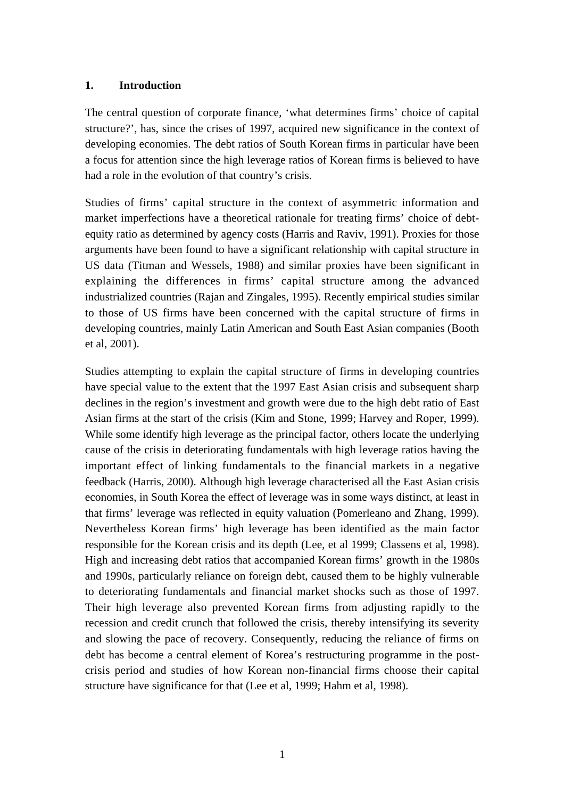## **1. Introduction**

The central question of corporate finance, 'what determines firms' choice of capital structure?', has, since the crises of 1997, acquired new significance in the context of developing economies. The debt ratios of South Korean firms in particular have been a focus for attention since the high leverage ratios of Korean firms is believed to have had a role in the evolution of that country's crisis.

Studies of firms' capital structure in the context of asymmetric information and market imperfections have a theoretical rationale for treating firms' choice of debtequity ratio as determined by agency costs (Harris and Raviv, 1991). Proxies for those arguments have been found to have a significant relationship with capital structure in US data (Titman and Wessels, 1988) and similar proxies have been significant in explaining the differences in firms' capital structure among the advanced industrialized countries (Rajan and Zingales, 1995). Recently empirical studies similar to those of US firms have been concerned with the capital structure of firms in developing countries, mainly Latin American and South East Asian companies (Booth et al, 2001).

Studies attempting to explain the capital structure of firms in developing countries have special value to the extent that the 1997 East Asian crisis and subsequent sharp declines in the region's investment and growth were due to the high debt ratio of East Asian firms at the start of the crisis (Kim and Stone, 1999; Harvey and Roper, 1999). While some identify high leverage as the principal factor, others locate the underlying cause of the crisis in deteriorating fundamentals with high leverage ratios having the important effect of linking fundamentals to the financial markets in a negative feedback (Harris, 2000). Although high leverage characterised all the East Asian crisis economies, in South Korea the effect of leverage was in some ways distinct, at least in that firms' leverage was reflected in equity valuation (Pomerleano and Zhang, 1999). Nevertheless Korean firms' high leverage has been identified as the main factor responsible for the Korean crisis and its depth (Lee, et al 1999; Classens et al, 1998). High and increasing debt ratios that accompanied Korean firms' growth in the 1980s and 1990s, particularly reliance on foreign debt, caused them to be highly vulnerable to deteriorating fundamentals and financial market shocks such as those of 1997. Their high leverage also prevented Korean firms from adjusting rapidly to the recession and credit crunch that followed the crisis, thereby intensifying its severity and slowing the pace of recovery. Consequently, reducing the reliance of firms on debt has become a central element of Korea's restructuring programme in the postcrisis period and studies of how Korean non-financial firms choose their capital structure have significance for that (Lee et al, 1999; Hahm et al, 1998).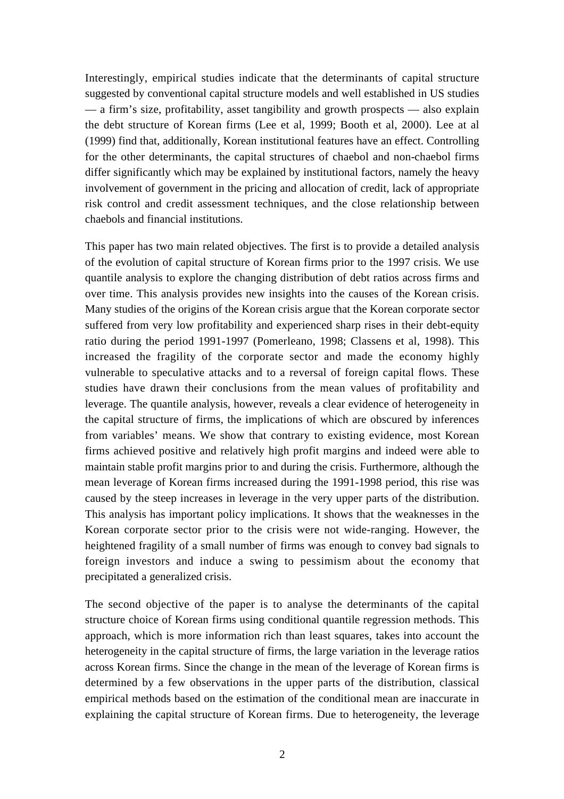Interestingly, empirical studies indicate that the determinants of capital structure suggested by conventional capital structure models and well established in US studies — a firm's size, profitability, asset tangibility and growth prospects — also explain the debt structure of Korean firms (Lee et al, 1999; Booth et al, 2000). Lee at al (1999) find that, additionally, Korean institutional features have an effect. Controlling for the other determinants, the capital structures of chaebol and non-chaebol firms differ significantly which may be explained by institutional factors, namely the heavy involvement of government in the pricing and allocation of credit, lack of appropriate risk control and credit assessment techniques, and the close relationship between chaebols and financial institutions.

This paper has two main related objectives. The first is to provide a detailed analysis of the evolution of capital structure of Korean firms prior to the 1997 crisis. We use quantile analysis to explore the changing distribution of debt ratios across firms and over time. This analysis provides new insights into the causes of the Korean crisis. Many studies of the origins of the Korean crisis argue that the Korean corporate sector suffered from very low profitability and experienced sharp rises in their debt-equity ratio during the period 1991-1997 (Pomerleano, 1998; Classens et al, 1998). This increased the fragility of the corporate sector and made the economy highly vulnerable to speculative attacks and to a reversal of foreign capital flows. These studies have drawn their conclusions from the mean values of profitability and leverage. The quantile analysis, however, reveals a clear evidence of heterogeneity in the capital structure of firms, the implications of which are obscured by inferences from variables' means. We show that contrary to existing evidence, most Korean firms achieved positive and relatively high profit margins and indeed were able to maintain stable profit margins prior to and during the crisis. Furthermore, although the mean leverage of Korean firms increased during the 1991-1998 period, this rise was caused by the steep increases in leverage in the very upper parts of the distribution. This analysis has important policy implications. It shows that the weaknesses in the Korean corporate sector prior to the crisis were not wide-ranging. However, the heightened fragility of a small number of firms was enough to convey bad signals to foreign investors and induce a swing to pessimism about the economy that precipitated a generalized crisis.

The second objective of the paper is to analyse the determinants of the capital structure choice of Korean firms using conditional quantile regression methods. This approach, which is more information rich than least squares, takes into account the heterogeneity in the capital structure of firms, the large variation in the leverage ratios across Korean firms. Since the change in the mean of the leverage of Korean firms is determined by a few observations in the upper parts of the distribution, classical empirical methods based on the estimation of the conditional mean are inaccurate in explaining the capital structure of Korean firms. Due to heterogeneity, the leverage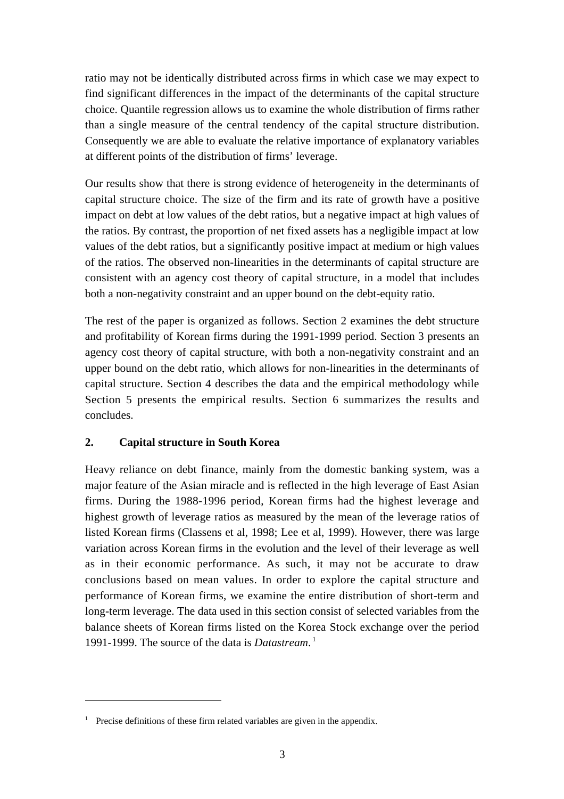ratio may not be identically distributed across firms in which case we may expect to find significant differences in the impact of the determinants of the capital structure choice. Quantile regression allows us to examine the whole distribution of firms rather than a single measure of the central tendency of the capital structure distribution. Consequently we are able to evaluate the relative importance of explanatory variables at different points of the distribution of firms' leverage.

Our results show that there is strong evidence of heterogeneity in the determinants of capital structure choice. The size of the firm and its rate of growth have a positive impact on debt at low values of the debt ratios, but a negative impact at high values of the ratios. By contrast, the proportion of net fixed assets has a negligible impact at low values of the debt ratios, but a significantly positive impact at medium or high values of the ratios. The observed non-linearities in the determinants of capital structure are consistent with an agency cost theory of capital structure, in a model that includes both a non-negativity constraint and an upper bound on the debt-equity ratio.

The rest of the paper is organized as follows. Section 2 examines the debt structure and profitability of Korean firms during the 1991-1999 period. Section 3 presents an agency cost theory of capital structure, with both a non-negativity constraint and an upper bound on the debt ratio, which allows for non-linearities in the determinants of capital structure. Section 4 describes the data and the empirical methodology while Section 5 presents the empirical results. Section 6 summarizes the results and concludes.

# **2. Capital structure in South Korea**

 $\overline{a}$ 

Heavy reliance on debt finance, mainly from the domestic banking system, was a major feature of the Asian miracle and is reflected in the high leverage of East Asian firms. During the 1988-1996 period, Korean firms had the highest leverage and highest growth of leverage ratios as measured by the mean of the leverage ratios of listed Korean firms (Classens et al, 1998; Lee et al, 1999). However, there was large variation across Korean firms in the evolution and the level of their leverage as well as in their economic performance. As such, it may not be accurate to draw conclusions based on mean values. In order to explore the capital structure and performance of Korean firms, we examine the entire distribution of short-term and long-term leverage. The data used in this section consist of selected variables from the balance sheets of Korean firms listed on the Korea Stock exchange over the period 1991-1999. The source of the data is *Datastream*. 1

<sup>&</sup>lt;sup>1</sup> Precise definitions of these firm related variables are given in the appendix.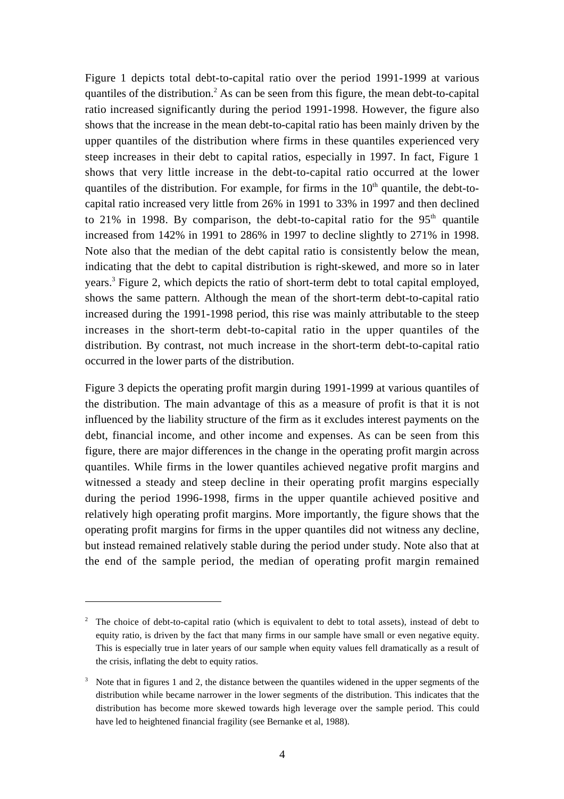Figure 1 depicts total debt-to-capital ratio over the period 1991-1999 at various quantiles of the distribution.<sup>2</sup> As can be seen from this figure, the mean debt-to-capital ratio increased significantly during the period 1991-1998. However, the figure also shows that the increase in the mean debt-to-capital ratio has been mainly driven by the upper quantiles of the distribution where firms in these quantiles experienced very steep increases in their debt to capital ratios, especially in 1997. In fact, Figure 1 shows that very little increase in the debt-to-capital ratio occurred at the lower quantiles of the distribution. For example, for firms in the  $10<sup>th</sup>$  quantile, the debt-tocapital ratio increased very little from 26% in 1991 to 33% in 1997 and then declined to 21% in 1998. By comparison, the debt-to-capital ratio for the  $95<sup>th</sup>$  quantile increased from 142% in 1991 to 286% in 1997 to decline slightly to 271% in 1998. Note also that the median of the debt capital ratio is consistently below the mean, indicating that the debt to capital distribution is right-skewed, and more so in later years.3 Figure 2, which depicts the ratio of short-term debt to total capital employed, shows the same pattern. Although the mean of the short-term debt-to-capital ratio increased during the 1991-1998 period, this rise was mainly attributable to the steep increases in the short-term debt-to-capital ratio in the upper quantiles of the distribution. By contrast, not much increase in the short-term debt-to-capital ratio occurred in the lower parts of the distribution.

Figure 3 depicts the operating profit margin during 1991-1999 at various quantiles of the distribution. The main advantage of this as a measure of profit is that it is not influenced by the liability structure of the firm as it excludes interest payments on the debt, financial income, and other income and expenses. As can be seen from this figure, there are major differences in the change in the operating profit margin across quantiles. While firms in the lower quantiles achieved negative profit margins and witnessed a steady and steep decline in their operating profit margins especially during the period 1996-1998, firms in the upper quantile achieved positive and relatively high operating profit margins. More importantly, the figure shows that the operating profit margins for firms in the upper quantiles did not witness any decline, but instead remained relatively stable during the period under study. Note also that at the end of the sample period, the median of operating profit margin remained

 $\overline{a}$ 

<sup>&</sup>lt;sup>2</sup> The choice of debt-to-capital ratio (which is equivalent to debt to total assets), instead of debt to equity ratio, is driven by the fact that many firms in our sample have small or even negative equity. This is especially true in later years of our sample when equity values fell dramatically as a result of the crisis, inflating the debt to equity ratios.

<sup>3</sup> Note that in figures 1 and 2, the distance between the quantiles widened in the upper segments of the distribution while became narrower in the lower segments of the distribution. This indicates that the distribution has become more skewed towards high leverage over the sample period. This could have led to heightened financial fragility (see Bernanke et al, 1988).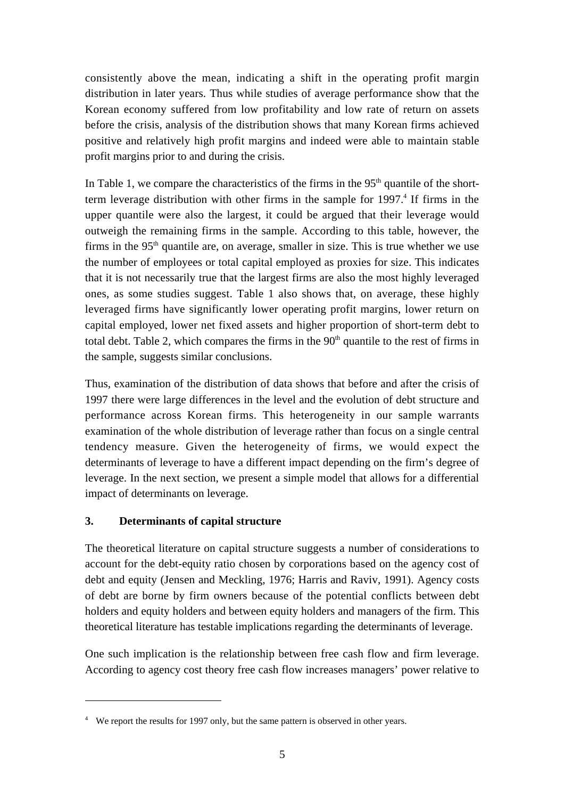consistently above the mean, indicating a shift in the operating profit margin distribution in later years. Thus while studies of average performance show that the Korean economy suffered from low profitability and low rate of return on assets before the crisis, analysis of the distribution shows that many Korean firms achieved positive and relatively high profit margins and indeed were able to maintain stable profit margins prior to and during the crisis.

In Table 1, we compare the characteristics of the firms in the  $95<sup>th</sup>$  quantile of the shortterm leverage distribution with other firms in the sample for 1997.<sup>4</sup> If firms in the upper quantile were also the largest, it could be argued that their leverage would outweigh the remaining firms in the sample. According to this table, however, the firms in the  $95<sup>th</sup>$  quantile are, on average, smaller in size. This is true whether we use the number of employees or total capital employed as proxies for size. This indicates that it is not necessarily true that the largest firms are also the most highly leveraged ones, as some studies suggest. Table 1 also shows that, on average, these highly leveraged firms have significantly lower operating profit margins, lower return on capital employed, lower net fixed assets and higher proportion of short-term debt to total debt. Table 2, which compares the firms in the  $90<sup>th</sup>$  quantile to the rest of firms in the sample, suggests similar conclusions.

Thus, examination of the distribution of data shows that before and after the crisis of 1997 there were large differences in the level and the evolution of debt structure and performance across Korean firms. This heterogeneity in our sample warrants examination of the whole distribution of leverage rather than focus on a single central tendency measure. Given the heterogeneity of firms, we would expect the determinants of leverage to have a different impact depending on the firm's degree of leverage. In the next section, we present a simple model that allows for a differential impact of determinants on leverage.

# **3. Determinants of capital structure**

 $\overline{a}$ 

The theoretical literature on capital structure suggests a number of considerations to account for the debt-equity ratio chosen by corporations based on the agency cost of debt and equity (Jensen and Meckling, 1976; Harris and Raviv, 1991). Agency costs of debt are borne by firm owners because of the potential conflicts between debt holders and equity holders and between equity holders and managers of the firm. This theoretical literature has testable implications regarding the determinants of leverage.

One such implication is the relationship between free cash flow and firm leverage. According to agency cost theory free cash flow increases managers' power relative to

<sup>&</sup>lt;sup>4</sup> We report the results for 1997 only, but the same pattern is observed in other years.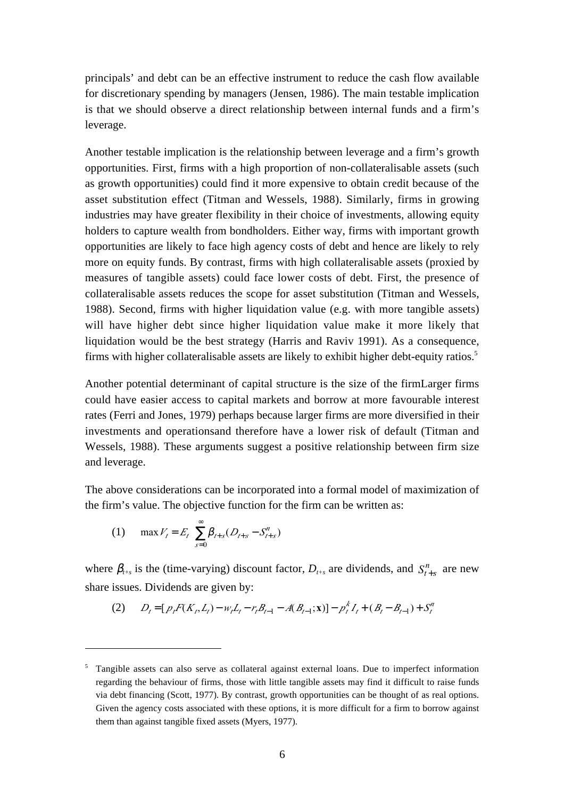principals' and debt can be an effective instrument to reduce the cash flow available for discretionary spending by managers (Jensen, 1986). The main testable implication is that we should observe a direct relationship between internal funds and a firm's leverage.

Another testable implication is the relationship between leverage and a firm's growth opportunities. First, firms with a high proportion of non-collateralisable assets (such as growth opportunities) could find it more expensive to obtain credit because of the asset substitution effect (Titman and Wessels, 1988). Similarly, firms in growing industries may have greater flexibility in their choice of investments, allowing equity holders to capture wealth from bondholders. Either way, firms with important growth opportunities are likely to face high agency costs of debt and hence are likely to rely more on equity funds. By contrast, firms with high collateralisable assets (proxied by measures of tangible assets) could face lower costs of debt. First, the presence of collateralisable assets reduces the scope for asset substitution (Titman and Wessels, 1988). Second, firms with higher liquidation value (e.g. with more tangible assets) will have higher debt since higher liquidation value make it more likely that liquidation would be the best strategy (Harris and Raviv 1991). As a consequence, firms with higher collateralisable assets are likely to exhibit higher debt-equity ratios.5

Another potential determinant of capital structure is the size of the firmLarger firms could have easier access to capital markets and borrow at more favourable interest rates (Ferri and Jones, 1979) perhaps because larger firms are more diversified in their investments and operationsand therefore have a lower risk of default (Titman and Wessels, 1988). These arguments suggest a positive relationship between firm size and leverage.

The above considerations can be incorporated into a formal model of maximization of the firm's value. The objective function for the firm can be written as:

(1) 
$$
\max V_t = E_t \left\{ \sum_{s=0}^{\infty} \beta_{t+s} (D_{t+s} - S_{t+s}'') \right\}
$$

 $\overline{a}$ 

where  $\beta_{t+s}$  is the (time-varying) discount factor,  $D_{t+s}$  are dividends, and  $S_{t+s}^n$  are new share issues. Dividends are given by:

$$
(2) \qquad D_t = [p_t F(K_t, L_t) - w_t L_t - r_t B_{t-1} - A(B_{t-1}; \mathbf{x})] - p_t^k I_t + (B_t - B_{t-1}) + S_t^m
$$

<sup>&</sup>lt;sup>5</sup> Tangible assets can also serve as collateral against external loans. Due to imperfect information regarding the behaviour of firms, those with little tangible assets may find it difficult to raise funds via debt financing (Scott, 1977). By contrast, growth opportunities can be thought of as real options. Given the agency costs associated with these options, it is more difficult for a firm to borrow against them than against tangible fixed assets (Myers, 1977).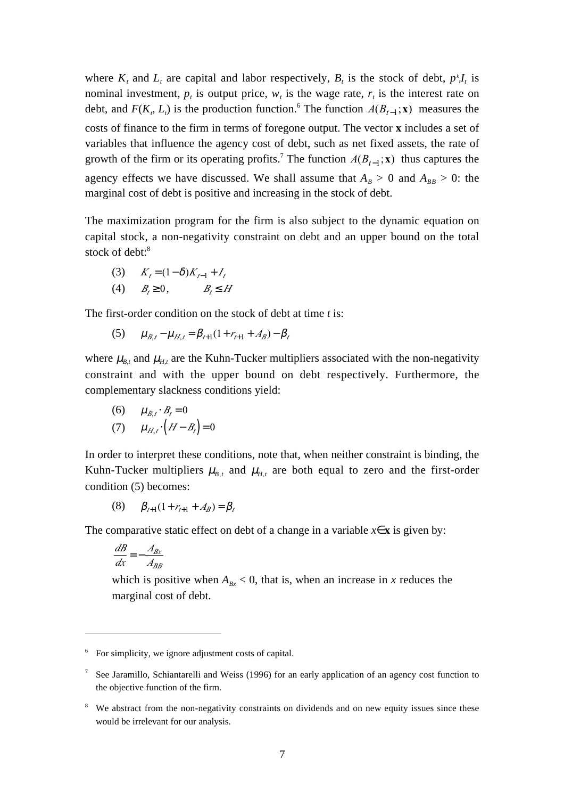where  $K_t$  and  $L_t$  are capital and labor respectively,  $B_t$  is the stock of debt,  $p^t I_t$  is nominal investment,  $p_t$  is output price,  $w_t$  is the wage rate,  $r_t$  is the interest rate on debt, and  $F(K_t, L_t)$  is the production function.<sup>6</sup> The function  $A(B_{t-1}; \mathbf{x})$  measures the costs of finance to the firm in terms of foregone output. The vector **x** includes a set of variables that influence the agency cost of debt, such as net fixed assets, the rate of growth of the firm or its operating profits.<sup>7</sup> The function  $A(B_{t-1}; \mathbf{x})$  thus captures the agency effects we have discussed. We shall assume that  $A_B > 0$  and  $A_{BB} > 0$ : the marginal cost of debt is positive and increasing in the stock of debt.

The maximization program for the firm is also subject to the dynamic equation on capital stock, a non-negativity constraint on debt and an upper bound on the total stock of debt:<sup>8</sup>

(3) 
$$
K_t = (1 - \delta)K_{t-1} + I_t
$$

$$
(4) \qquad B_t \ge 0, \qquad B_t \le H
$$

The first-order condition on the stock of debt at time *t* is:

(5) 
$$
\mu_{B,t} - \mu_{H,t} = \beta_{t+1}(1 + r_{t+1} + A_B) - \beta_t
$$

where  $\mu_{B,t}$  and  $\mu_{H,t}$  are the Kuhn-Tucker multipliers associated with the non-negativity constraint and with the upper bound on debt respectively. Furthermore, the complementary slackness conditions yield:

(6) 
$$
\mu_{B,t} \cdot B_t = 0
$$
  
(7)  $\mu_{H,t} \cdot (H - B_t) = 0$ 

In order to interpret these conditions, note that, when neither constraint is binding, the Kuhn-Tucker multipliers  $\mu_{B,t}$  and  $\mu_{H,t}$  are both equal to zero and the first-order condition (5) becomes:

$$
(8) \qquad \beta_{t+1}(1+r_{t+1}+A_B) = \beta_t
$$

The comparative static effect on debt of a change in a variable  $x \in \mathbf{x}$  is given by:

$$
\frac{dB}{dx} = -\frac{A_{Bx}}{A_{BB}}
$$

which is positive when  $A_{Bx} < 0$ , that is, when an increase in x reduces the marginal cost of debt.

<sup>&</sup>lt;sup>6</sup> For simplicity, we ignore adjustment costs of capital.

<sup>&</sup>lt;sup>7</sup> See Jaramillo, Schiantarelli and Weiss (1996) for an early application of an agency cost function to the objective function of the firm.

<sup>&</sup>lt;sup>8</sup> We abstract from the non-negativity constraints on dividends and on new equity issues since these would be irrelevant for our analysis.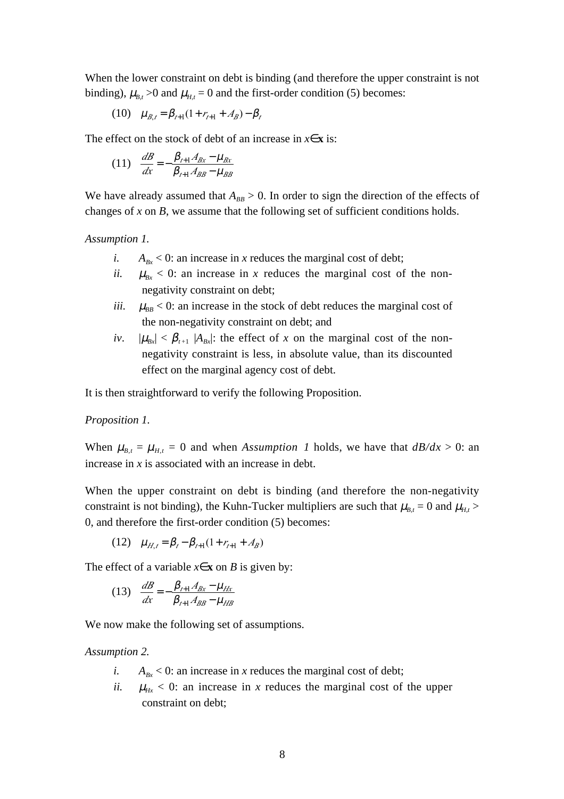When the lower constraint on debt is binding (and therefore the upper constraint is not binding),  $\mu_{B,t} > 0$  and  $\mu_{H,t} = 0$  and the first-order condition (5) becomes:

$$
(10) \quad \mu_{B,t} = \beta_{t+1}(1 + r_{t+1} + A_B) - \beta_t
$$

The effect on the stock of debt of an increase in *x*∈**x** is:

(11) 
$$
\frac{dB}{dx} = -\frac{\beta_{l+1}A_{Bx} - \mu_{Bx}}{\beta_{l+1}A_{BB} - \mu_{BB}}
$$

We have already assumed that  $A_{BB} > 0$ . In order to sign the direction of the effects of changes of *x* on *B*, we assume that the following set of sufficient conditions holds.

#### *Assumption 1.*

- *i.*  $A_{Bx} < 0$ : an increase in *x* reduces the marginal cost of debt;
- *ii.*  $\mu_{Bx} < 0$ : an increase in *x* reduces the marginal cost of the nonnegativity constraint on debt;
- *iii.*  $\mu_{BB}$  < 0: an increase in the stock of debt reduces the marginal cost of the non-negativity constraint on debt; and
- *iv.*  $|\mu_{Bx}| < \beta_{t+1}$   $|A_{Bx}|$ : the effect of *x* on the marginal cost of the nonnegativity constraint is less, in absolute value, than its discounted effect on the marginal agency cost of debt.

It is then straightforward to verify the following Proposition.

### *Proposition 1.*

When  $\mu_{B,t} = \mu_{H,t} = 0$  and when *Assumption 1* holds, we have that  $dB/dx > 0$ : an increase in *x* is associated with an increase in debt.

When the upper constraint on debt is binding (and therefore the non-negativity constraint is not binding), the Kuhn-Tucker multipliers are such that  $\mu_{B,t} = 0$  and  $\mu_{H,t}$ 0, and therefore the first-order condition (5) becomes:

(12) 
$$
\mu_{H,t} = \beta_t - \beta_{t+1}(1 + r_{t+1} + A_B)
$$

The effect of a variable  $x \in \mathbf{x}$  on *B* is given by:

(13) 
$$
\frac{dB}{dx} = -\frac{\beta_{t+1}A_{Bx} - \mu_{Hx}}{\beta_{t+1}A_{BB} - \mu_{HB}}
$$

We now make the following set of assumptions.

#### *Assumption 2.*

- *i.*  $A_{Bx} < 0$ : an increase in *x* reduces the marginal cost of debt;
- *ii.*  $\mu_{Hx}$  < 0: an increase in *x* reduces the marginal cost of the upper constraint on debt;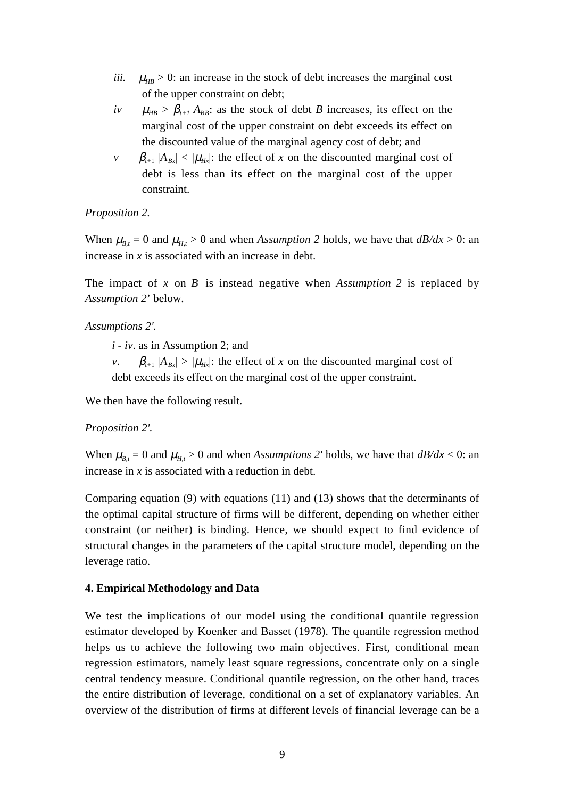- *iii.*  $\mu_{\text{HB}} > 0$ : an increase in the stock of debt increases the marginal cost of the upper constraint on debt;
- $iv$   $\mu_{\text{HR}} > \beta_{i+1} A_{\text{RR}}$ : as the stock of debt *B* increases, its effect on the marginal cost of the upper constraint on debt exceeds its effect on the discounted value of the marginal agency cost of debt; and
- *v*  $\beta_{t+1}$   $|A_{Bx}| < | \mu_{Hx} |$ : the effect of *x* on the discounted marginal cost of debt is less than its effect on the marginal cost of the upper constraint.

## *Proposition 2.*

When  $\mu_{B,t} = 0$  and  $\mu_{H,t} > 0$  and when *Assumption 2* holds, we have that  $dB/dx > 0$ : an increase in *x* is associated with an increase in debt.

The impact of *x* on *B* is instead negative when *Assumption 2* is replaced by *Assumption 2*' below.

*Assumptions 2'.*

*i - iv*. as in Assumption 2; and

*v*.  $\beta_{t+1} |A_{Bx}| > |\mu_{Hx}|$ : the effect of *x* on the discounted marginal cost of debt exceeds its effect on the marginal cost of the upper constraint.

We then have the following result.

# *Proposition 2'.*

When  $\mu_{B,t} = 0$  and  $\mu_{H,t} > 0$  and when *Assumptions 2'* holds, we have that  $dB/dx < 0$ : an increase in *x* is associated with a reduction in debt.

Comparing equation (9) with equations (11) and (13) shows that the determinants of the optimal capital structure of firms will be different, depending on whether either constraint (or neither) is binding. Hence, we should expect to find evidence of structural changes in the parameters of the capital structure model, depending on the leverage ratio.

## **4. Empirical Methodology and Data**

We test the implications of our model using the conditional quantile regression estimator developed by Koenker and Basset (1978). The quantile regression method helps us to achieve the following two main objectives. First, conditional mean regression estimators, namely least square regressions, concentrate only on a single central tendency measure. Conditional quantile regression, on the other hand, traces the entire distribution of leverage, conditional on a set of explanatory variables. An overview of the distribution of firms at different levels of financial leverage can be a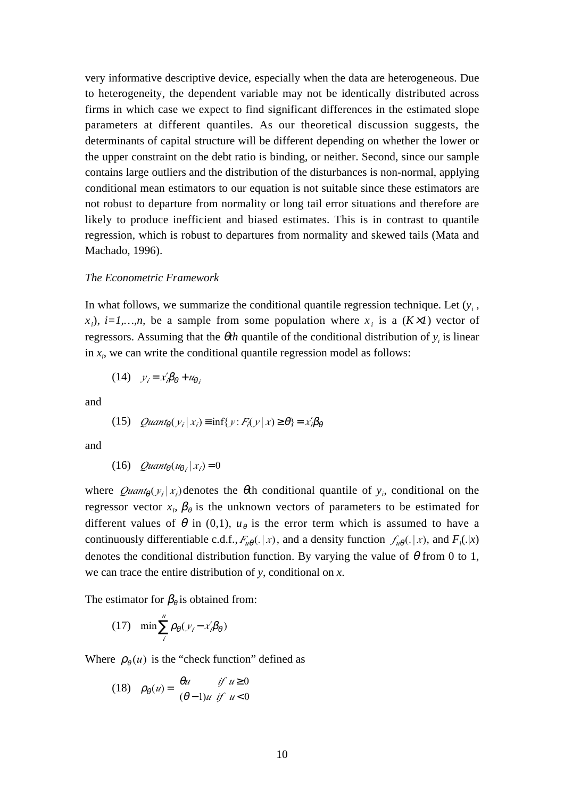very informative descriptive device, especially when the data are heterogeneous. Due to heterogeneity, the dependent variable may not be identically distributed across firms in which case we expect to find significant differences in the estimated slope parameters at different quantiles. As our theoretical discussion suggests, the determinants of capital structure will be different depending on whether the lower or the upper constraint on the debt ratio is binding, or neither. Second, since our sample contains large outliers and the distribution of the disturbances is non-normal, applying conditional mean estimators to our equation is not suitable since these estimators are not robust to departure from normality or long tail error situations and therefore are likely to produce inefficient and biased estimates. This is in contrast to quantile regression, which is robust to departures from normality and skewed tails (Mata and Machado, 1996).

### *The Econometric Framework*

In what follows, we summarize the conditional quantile regression technique. Let  $(y<sub>i</sub>)$ ,  $x_i$ ),  $i=1,...,n$ , be a sample from some population where  $x_i$  is a  $(K \times I)$  vector of regressors. Assuming that the  $\theta$ th quantile of the conditional distribution of  $y_i$  is linear in  $x_i$ , we can write the conditional quantile regression model as follows:

$$
(14) \quad y_i = x_i' \beta_\theta + u_{\theta_i}
$$

and

(15) 
$$
Quant_{\theta}(y_i | x_i) \equiv \inf \{ y : F_i(y | x) \ge \theta \} = x_i' \beta_{\theta}
$$

and

$$
(16) \quad \mathcal{Q} \text{uant}_{\theta}(u_{\theta_i} | x_i) = 0
$$

where  $Quant_{\theta}(y_i|x_i)$  denotes the  $\theta$ th conditional quantile of  $y_i$ , conditional on the regressor vector  $x_i$ ,  $\beta_\theta$  is the unknown vectors of parameters to be estimated for different values of  $\theta$  in (0,1),  $u_{\theta}$  is the error term which is assumed to have a continuously differentiable c.d.f.,  $F_{\mu\theta}(.\vert x)$ , and a density function  $f_{\mu\theta}(. \vert x)$ , and  $F_i(. \vert x)$ denotes the conditional distribution function. By varying the value of  $\theta$  from 0 to 1, we can trace the entire distribution of *y*, conditional on *x*.

The estimator for  $\beta_{\theta}$  is obtained from:

$$
(17) \quad \min \sum_{i}^{n} \rho_{\theta} (y_i - x_i' \beta_{\theta})
$$

Where  $\rho_{\theta}(u)$  is the "check function" defined as

(18) 
$$
\rho_{\theta}(u) = \begin{cases} \theta u & \text{if } u \ge 0 \\ (\theta - 1)u & \text{if } u < 0 \end{cases}
$$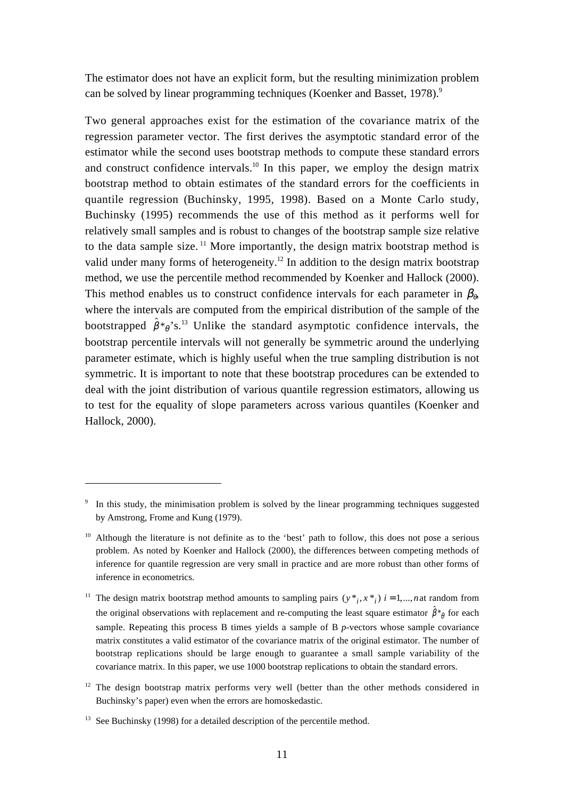The estimator does not have an explicit form, but the resulting minimization problem can be solved by linear programming techniques (Koenker and Basset, 1978).<sup>9</sup>

Two general approaches exist for the estimation of the covariance matrix of the regression parameter vector. The first derives the asymptotic standard error of the estimator while the second uses bootstrap methods to compute these standard errors and construct confidence intervals.<sup>10</sup> In this paper, we employ the design matrix bootstrap method to obtain estimates of the standard errors for the coefficients in quantile regression (Buchinsky, 1995, 1998). Based on a Monte Carlo study, Buchinsky (1995) recommends the use of this method as it performs well for relatively small samples and is robust to changes of the bootstrap sample size relative to the data sample size.  $\frac{11}{11}$  More importantly, the design matrix bootstrap method is valid under many forms of heterogeneity.<sup>12</sup> In addition to the design matrix bootstrap method, we use the percentile method recommended by Koenker and Hallock (2000). This method enables us to construct confidence intervals for each parameter in  $\beta_{\theta}$ , where the intervals are computed from the empirical distribution of the sample of the bootstrapped  $\hat{\beta}$ <sup>\*</sup> $_{\theta}$ 's.<sup>13</sup> Unlike the standard asymptotic confidence intervals, the bootstrap percentile intervals will not generally be symmetric around the underlying parameter estimate, which is highly useful when the true sampling distribution is not symmetric. It is important to note that these bootstrap procedures can be extended to deal with the joint distribution of various quantile regression estimators, allowing us to test for the equality of slope parameters across various quantiles (Koenker and Hallock, 2000).

 $\overline{a}$ 

<sup>&</sup>lt;sup>9</sup> In this study, the minimisation problem is solved by the linear programming techniques suggested by Amstrong, Frome and Kung (1979).

 $10$  Although the literature is not definite as to the 'best' path to follow, this does not pose a serious problem. As noted by Koenker and Hallock (2000), the differences between competing methods of inference for quantile regression are very small in practice and are more robust than other forms of inference in econometrics.

<sup>&</sup>lt;sup>11</sup> The design matrix bootstrap method amounts to sampling pairs  $(y^*, x^*)$  *i* = 1,..., *n* at random from the original observations with replacement and re-computing the least square estimator  $\hat{\beta}^*_{\theta}$  for each sample. Repeating this process B times yields a sample of B *p*-vectors whose sample covariance matrix constitutes a valid estimator of the covariance matrix of the original estimator. The number of bootstrap replications should be large enough to guarantee a small sample variability of the covariance matrix. In this paper, we use 1000 bootstrap replications to obtain the standard errors.

 $12$  The design bootstrap matrix performs very well (better than the other methods considered in Buchinsky's paper) even when the errors are homoskedastic.

<sup>&</sup>lt;sup>13</sup> See Buchinsky (1998) for a detailed description of the percentile method.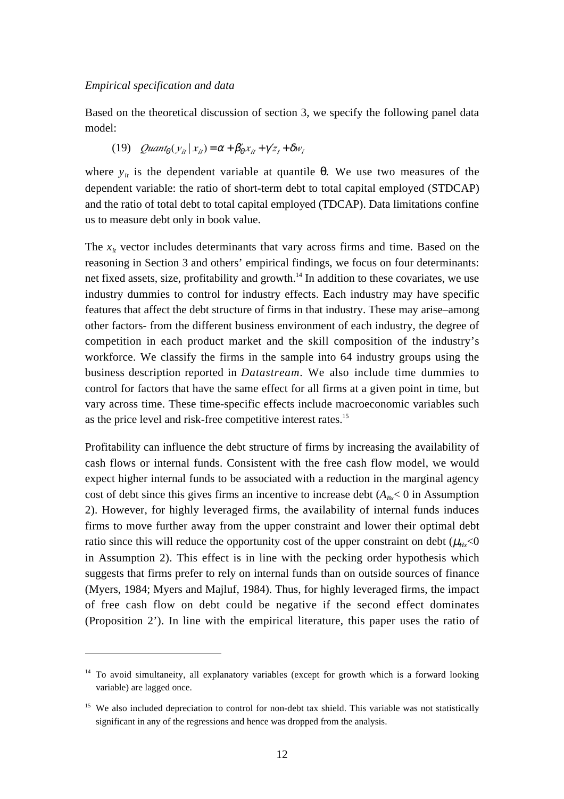$\overline{a}$ 

Based on the theoretical discussion of section 3, we specify the following panel data model:

(19) 
$$
Quant_{\theta}(y_{it} | x_{it}) = \alpha + \beta'_{\theta} x_{it} + \gamma' z_t + \delta w_i
$$

where  $y_{it}$  is the dependent variable at quantile θ. We use two measures of the dependent variable: the ratio of short-term debt to total capital employed (STDCAP) and the ratio of total debt to total capital employed (TDCAP). Data limitations confine us to measure debt only in book value.

The  $x_{it}$  vector includes determinants that vary across firms and time. Based on the reasoning in Section 3 and others' empirical findings, we focus on four determinants: net fixed assets, size, profitability and growth.<sup>14</sup> In addition to these covariates, we use industry dummies to control for industry effects. Each industry may have specific features that affect the debt structure of firms in that industry. These may arise–among other factors- from the different business environment of each industry, the degree of competition in each product market and the skill composition of the industry's workforce. We classify the firms in the sample into 64 industry groups using the business description reported in *Datastream*. We also include time dummies to control for factors that have the same effect for all firms at a given point in time, but vary across time. These time-specific effects include macroeconomic variables such as the price level and risk-free competitive interest rates.<sup>15</sup>

Profitability can influence the debt structure of firms by increasing the availability of cash flows or internal funds. Consistent with the free cash flow model, we would expect higher internal funds to be associated with a reduction in the marginal agency cost of debt since this gives firms an incentive to increase debt  $(A_{B} < 0$  in Assumption 2). However, for highly leveraged firms, the availability of internal funds induces firms to move further away from the upper constraint and lower their optimal debt ratio since this will reduce the opportunity cost of the upper constraint on debt  $(\mu_{Hx} < 0)$ in Assumption 2). This effect is in line with the pecking order hypothesis which suggests that firms prefer to rely on internal funds than on outside sources of finance (Myers, 1984; Myers and Majluf, 1984). Thus, for highly leveraged firms, the impact of free cash flow on debt could be negative if the second effect dominates (Proposition 2'). In line with the empirical literature, this paper uses the ratio of

 $14$  To avoid simultaneity, all explanatory variables (except for growth which is a forward looking variable) are lagged once.

<sup>&</sup>lt;sup>15</sup> We also included depreciation to control for non-debt tax shield. This variable was not statistically significant in any of the regressions and hence was dropped from the analysis.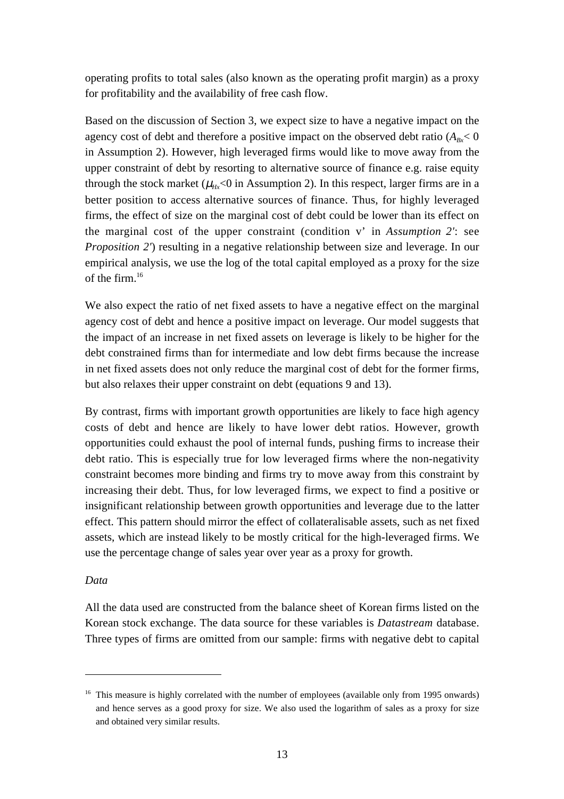operating profits to total sales (also known as the operating profit margin) as a proxy for profitability and the availability of free cash flow.

Based on the discussion of Section 3, we expect size to have a negative impact on the agency cost of debt and therefore a positive impact on the observed debt ratio  $(A_{Bx} < 0)$ in Assumption 2). However, high leveraged firms would like to move away from the upper constraint of debt by resorting to alternative source of finance e.g. raise equity through the stock market ( $\mu_{H}$ <0 in Assumption 2). In this respect, larger firms are in a better position to access alternative sources of finance. Thus, for highly leveraged firms, the effect of size on the marginal cost of debt could be lower than its effect on the marginal cost of the upper constraint (condition v' in *Assumption 2'*: see *Proposition 2'*) resulting in a negative relationship between size and leverage. In our empirical analysis, we use the log of the total capital employed as a proxy for the size of the firm  $16$ 

We also expect the ratio of net fixed assets to have a negative effect on the marginal agency cost of debt and hence a positive impact on leverage. Our model suggests that the impact of an increase in net fixed assets on leverage is likely to be higher for the debt constrained firms than for intermediate and low debt firms because the increase in net fixed assets does not only reduce the marginal cost of debt for the former firms, but also relaxes their upper constraint on debt (equations 9 and 13).

By contrast, firms with important growth opportunities are likely to face high agency costs of debt and hence are likely to have lower debt ratios. However, growth opportunities could exhaust the pool of internal funds, pushing firms to increase their debt ratio. This is especially true for low leveraged firms where the non-negativity constraint becomes more binding and firms try to move away from this constraint by increasing their debt. Thus, for low leveraged firms, we expect to find a positive or insignificant relationship between growth opportunities and leverage due to the latter effect. This pattern should mirror the effect of collateralisable assets, such as net fixed assets, which are instead likely to be mostly critical for the high-leveraged firms. We use the percentage change of sales year over year as a proxy for growth.

### *Data*

 $\overline{a}$ 

All the data used are constructed from the balance sheet of Korean firms listed on the Korean stock exchange. The data source for these variables is *Datastream* database. Three types of firms are omitted from our sample: firms with negative debt to capital

<sup>&</sup>lt;sup>16</sup> This measure is highly correlated with the number of employees (available only from 1995 onwards) and hence serves as a good proxy for size. We also used the logarithm of sales as a proxy for size and obtained very similar results.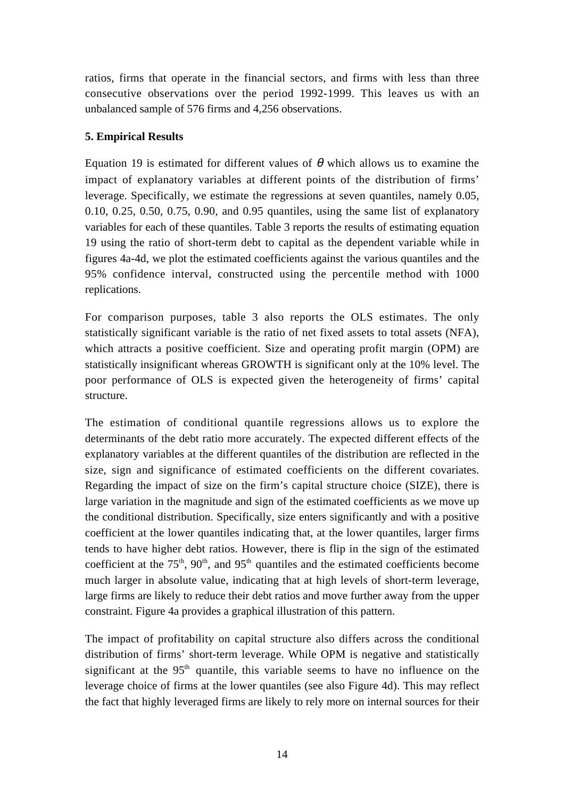ratios, firms that operate in the financial sectors, and firms with less than three consecutive observations over the period 1992-1999. This leaves us with an unbalanced sample of 576 firms and 4,256 observations.

# **5. Empirical Results**

Equation 19 is estimated for different values of  $\theta$  which allows us to examine the impact of explanatory variables at different points of the distribution of firms' leverage. Specifically, we estimate the regressions at seven quantiles, namely 0.05, 0.10, 0.25, 0.50, 0.75, 0.90, and 0.95 quantiles, using the same list of explanatory variables for each of these quantiles. Table 3 reports the results of estimating equation 19 using the ratio of short-term debt to capital as the dependent variable while in figures 4a-4d, we plot the estimated coefficients against the various quantiles and the 95% confidence interval, constructed using the percentile method with 1000 replications.

For comparison purposes, table 3 also reports the OLS estimates. The only statistically significant variable is the ratio of net fixed assets to total assets (NFA), which attracts a positive coefficient. Size and operating profit margin (OPM) are statistically insignificant whereas GROWTH is significant only at the 10% level. The poor performance of OLS is expected given the heterogeneity of firms' capital structure.

The estimation of conditional quantile regressions allows us to explore the determinants of the debt ratio more accurately. The expected different effects of the explanatory variables at the different quantiles of the distribution are reflected in the size, sign and significance of estimated coefficients on the different covariates. Regarding the impact of size on the firm's capital structure choice (SIZE), there is large variation in the magnitude and sign of the estimated coefficients as we move up the conditional distribution. Specifically, size enters significantly and with a positive coefficient at the lower quantiles indicating that, at the lower quantiles, larger firms tends to have higher debt ratios. However, there is flip in the sign of the estimated coefficient at the  $75<sup>th</sup>$ ,  $90<sup>th</sup>$ , and  $95<sup>th</sup>$  quantiles and the estimated coefficients become much larger in absolute value, indicating that at high levels of short-term leverage, large firms are likely to reduce their debt ratios and move further away from the upper constraint. Figure 4a provides a graphical illustration of this pattern.

The impact of profitability on capital structure also differs across the conditional distribution of firms' short-term leverage. While OPM is negative and statistically significant at the  $95<sup>th</sup>$  quantile, this variable seems to have no influence on the leverage choice of firms at the lower quantiles (see also Figure 4d). This may reflect the fact that highly leveraged firms are likely to rely more on internal sources for their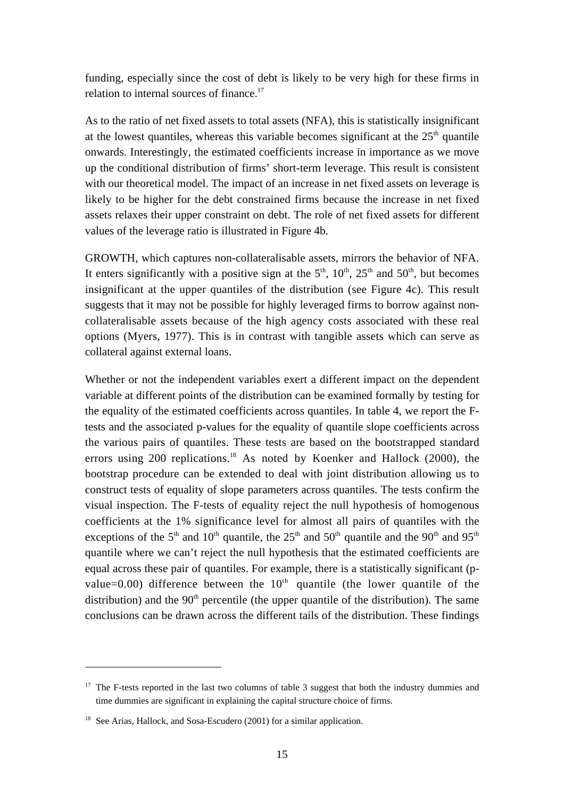funding, especially since the cost of debt is likely to be very high for these firms in relation to internal sources of finance. $17$ 

As to the ratio of net fixed assets to total assets (NFA), this is statistically insignificant at the lowest quantiles, whereas this variable becomes significant at the  $25<sup>th</sup>$  quantile onwards. Interestingly, the estimated coefficients increase in importance as we move up the conditional distribution of firms' short-term leverage. This result is consistent with our theoretical model. The impact of an increase in net fixed assets on leverage is likely to be higher for the debt constrained firms because the increase in net fixed assets relaxes their upper constraint on debt. The role of net fixed assets for different values of the leverage ratio is illustrated in Figure 4b.

GROWTH, which captures non-collateralisable assets, mirrors the behavior of NFA. It enters significantly with a positive sign at the  $5<sup>th</sup>$ ,  $10<sup>th</sup>$ ,  $25<sup>th</sup>$  and  $50<sup>th</sup>$ , but becomes insignificant at the upper quantiles of the distribution (see Figure 4c). This result suggests that it may not be possible for highly leveraged firms to borrow against noncollateralisable assets because of the high agency costs associated with these real options (Myers, 1977). This is in contrast with tangible assets which can serve as collateral against external loans.

Whether or not the independent variables exert a different impact on the dependent variable at different points of the distribution can be examined formally by testing for the equality of the estimated coefficients across quantiles. In table 4, we report the Ftests and the associated p-values for the equality of quantile slope coefficients across the various pairs of quantiles. These tests are based on the bootstrapped standard errors using 200 replications.<sup>18</sup> As noted by Koenker and Hallock (2000), the bootstrap procedure can be extended to deal with joint distribution allowing us to construct tests of equality of slope parameters across quantiles. The tests confirm the visual inspection. The F-tests of equality reject the null hypothesis of homogenous coefficients at the 1% significance level for almost all pairs of quantiles with the exceptions of the 5<sup>th</sup> and 10<sup>th</sup> quantile, the 25<sup>th</sup> and 50<sup>th</sup> quantile and the 90<sup>th</sup> and 95<sup>th</sup> quantile where we can't reject the null hypothesis that the estimated coefficients are equal across these pair of quantiles. For example, there is a statistically significant (pvalue=0.00) difference between the  $10<sup>th</sup>$  quantile (the lower quantile of the distribution) and the  $90<sup>th</sup>$  percentile (the upper quantile of the distribution). The same conclusions can be drawn across the different tails of the distribution. These findings

 $\overline{a}$ 

<sup>&</sup>lt;sup>17</sup> The F-tests reported in the last two columns of table 3 suggest that both the industry dummies and time dummies are significant in explaining the capital structure choice of firms.

<sup>&</sup>lt;sup>18</sup> See Arias, Hallock, and Sosa-Escudero (2001) for a similar application.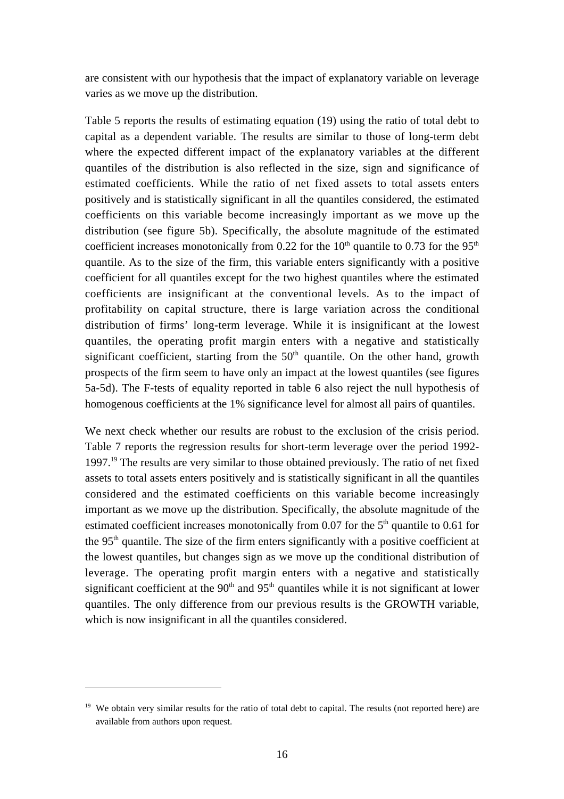are consistent with our hypothesis that the impact of explanatory variable on leverage varies as we move up the distribution.

Table 5 reports the results of estimating equation (19) using the ratio of total debt to capital as a dependent variable. The results are similar to those of long-term debt where the expected different impact of the explanatory variables at the different quantiles of the distribution is also reflected in the size, sign and significance of estimated coefficients. While the ratio of net fixed assets to total assets enters positively and is statistically significant in all the quantiles considered, the estimated coefficients on this variable become increasingly important as we move up the distribution (see figure 5b). Specifically, the absolute magnitude of the estimated coefficient increases monotonically from 0.22 for the  $10<sup>th</sup>$  quantile to 0.73 for the 95<sup>th</sup> quantile. As to the size of the firm, this variable enters significantly with a positive coefficient for all quantiles except for the two highest quantiles where the estimated coefficients are insignificant at the conventional levels. As to the impact of profitability on capital structure, there is large variation across the conditional distribution of firms' long-term leverage. While it is insignificant at the lowest quantiles, the operating profit margin enters with a negative and statistically significant coefficient, starting from the  $50<sup>th</sup>$  quantile. On the other hand, growth prospects of the firm seem to have only an impact at the lowest quantiles (see figures 5a-5d). The F-tests of equality reported in table 6 also reject the null hypothesis of homogenous coefficients at the 1% significance level for almost all pairs of quantiles.

We next check whether our results are robust to the exclusion of the crisis period. Table 7 reports the regression results for short-term leverage over the period 1992-  $1997<sup>19</sup>$ . The results are very similar to those obtained previously. The ratio of net fixed assets to total assets enters positively and is statistically significant in all the quantiles considered and the estimated coefficients on this variable become increasingly important as we move up the distribution. Specifically, the absolute magnitude of the estimated coefficient increases monotonically from 0.07 for the  $5<sup>th</sup>$  quantile to 0.61 for the  $95<sup>th</sup>$  quantile. The size of the firm enters significantly with a positive coefficient at the lowest quantiles, but changes sign as we move up the conditional distribution of leverage. The operating profit margin enters with a negative and statistically significant coefficient at the  $90<sup>th</sup>$  and  $95<sup>th</sup>$  quantiles while it is not significant at lower quantiles. The only difference from our previous results is the GROWTH variable, which is now insignificant in all the quantiles considered.

 $\overline{a}$ 

<sup>&</sup>lt;sup>19</sup> We obtain very similar results for the ratio of total debt to capital. The results (not reported here) are available from authors upon request.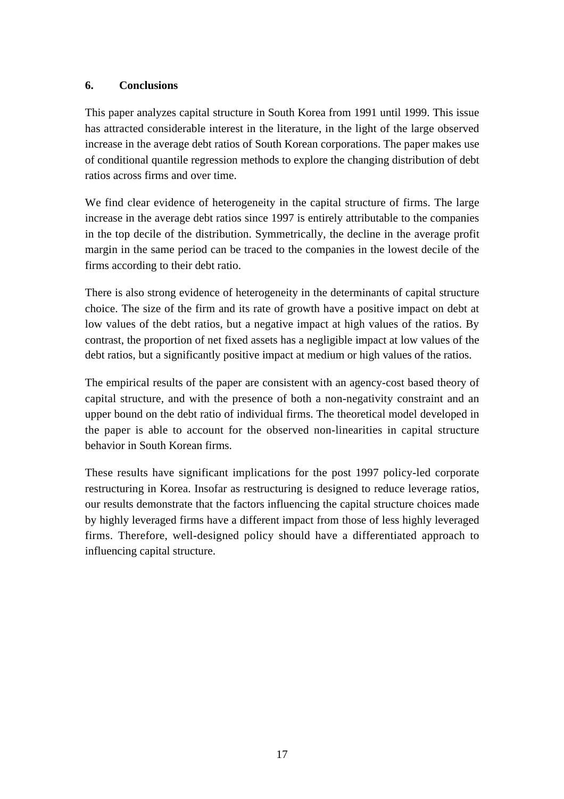# **6. Conclusions**

This paper analyzes capital structure in South Korea from 1991 until 1999. This issue has attracted considerable interest in the literature, in the light of the large observed increase in the average debt ratios of South Korean corporations. The paper makes use of conditional quantile regression methods to explore the changing distribution of debt ratios across firms and over time.

We find clear evidence of heterogeneity in the capital structure of firms. The large increase in the average debt ratios since 1997 is entirely attributable to the companies in the top decile of the distribution. Symmetrically, the decline in the average profit margin in the same period can be traced to the companies in the lowest decile of the firms according to their debt ratio.

There is also strong evidence of heterogeneity in the determinants of capital structure choice. The size of the firm and its rate of growth have a positive impact on debt at low values of the debt ratios, but a negative impact at high values of the ratios. By contrast, the proportion of net fixed assets has a negligible impact at low values of the debt ratios, but a significantly positive impact at medium or high values of the ratios.

The empirical results of the paper are consistent with an agency-cost based theory of capital structure, and with the presence of both a non-negativity constraint and an upper bound on the debt ratio of individual firms. The theoretical model developed in the paper is able to account for the observed non-linearities in capital structure behavior in South Korean firms.

These results have significant implications for the post 1997 policy-led corporate restructuring in Korea. Insofar as restructuring is designed to reduce leverage ratios, our results demonstrate that the factors influencing the capital structure choices made by highly leveraged firms have a different impact from those of less highly leveraged firms. Therefore, well-designed policy should have a differentiated approach to influencing capital structure.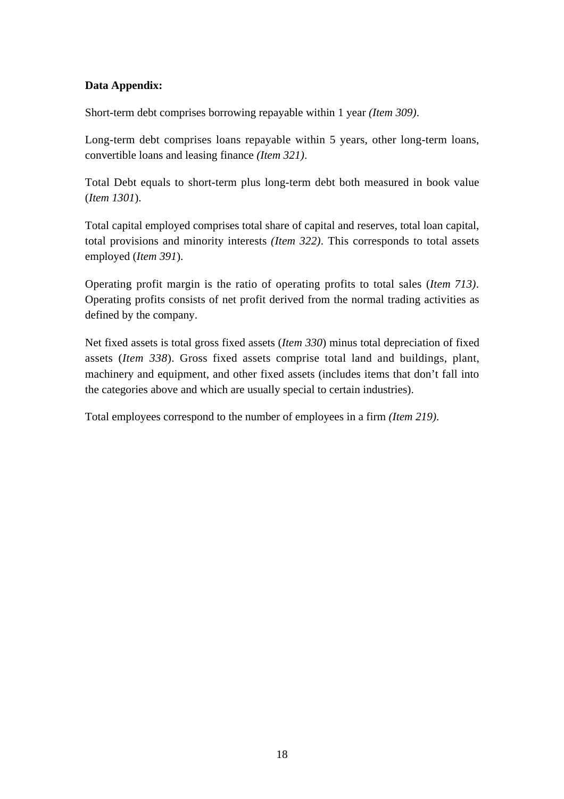# **Data Appendix:**

Short-term debt comprises borrowing repayable within 1 year *(Item 309)*.

Long-term debt comprises loans repayable within 5 years, other long-term loans, convertible loans and leasing finance *(Item 321)*.

Total Debt equals to short-term plus long-term debt both measured in book value (*Item 1301*).

Total capital employed comprises total share of capital and reserves, total loan capital, total provisions and minority interests *(Item 322)*. This corresponds to total assets employed (*Item 391*).

Operating profit margin is the ratio of operating profits to total sales (*Item 713)*. Operating profits consists of net profit derived from the normal trading activities as defined by the company.

Net fixed assets is total gross fixed assets (*Item 330*) minus total depreciation of fixed assets (*Item 338*). Gross fixed assets comprise total land and buildings, plant, machinery and equipment, and other fixed assets (includes items that don't fall into the categories above and which are usually special to certain industries).

Total employees correspond to the number of employees in a firm *(Item 219)*.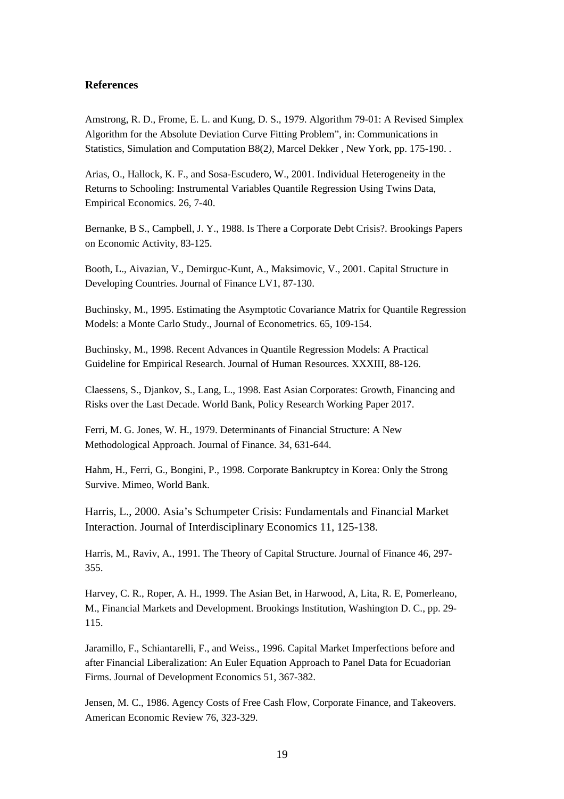### **References**

Amstrong, R. D., Frome, E. L. and Kung, D. S., 1979. Algorithm 79-01: A Revised Simplex Algorithm for the Absolute Deviation Curve Fitting Problem", in: Communications in Statistics, Simulation and Computation B8(2*),* Marcel Dekker , New York, pp. 175-190. .

Arias, O., Hallock, K. F., and Sosa-Escudero, W., 2001. Individual Heterogeneity in the Returns to Schooling: Instrumental Variables Quantile Regression Using Twins Data, Empirical Economics. 26, 7-40.

Bernanke, B S., Campbell, J. Y., 1988. Is There a Corporate Debt Crisis?. Brookings Papers on Economic Activity, 83-125.

Booth, L., Aivazian, V., Demirguc-Kunt, A., Maksimovic, V., 2001. Capital Structure in Developing Countries. Journal of Finance LV1, 87-130.

Buchinsky, M., 1995. Estimating the Asymptotic Covariance Matrix for Quantile Regression Models: a Monte Carlo Study., Journal of Econometrics. 65, 109-154.

Buchinsky, M., 1998. Recent Advances in Quantile Regression Models: A Practical Guideline for Empirical Research. Journal of Human Resources. XXXIII, 88-126.

Claessens, S., Djankov, S., Lang, L., 1998. East Asian Corporates: Growth, Financing and Risks over the Last Decade. World Bank, Policy Research Working Paper 2017.

Ferri, M. G. Jones, W. H., 1979. Determinants of Financial Structure: A New Methodological Approach. Journal of Finance. 34, 631-644.

Hahm, H., Ferri, G., Bongini, P., 1998. Corporate Bankruptcy in Korea: Only the Strong Survive. Mimeo, World Bank.

Harris, L., 2000. Asia's Schumpeter Crisis: Fundamentals and Financial Market Interaction. Journal of Interdisciplinary Economics 11, 125-138.

Harris, M., Raviv, A., 1991. The Theory of Capital Structure. Journal of Finance 46, 297- 355.

Harvey, C. R., Roper, A. H., 1999. The Asian Bet, in Harwood, A, Lita, R. E, Pomerleano, M., Financial Markets and Development. Brookings Institution, Washington D. C., pp. 29- 115.

Jaramillo, F., Schiantarelli, F., and Weiss., 1996. Capital Market Imperfections before and after Financial Liberalization: An Euler Equation Approach to Panel Data for Ecuadorian Firms. Journal of Development Economics 51, 367-382.

Jensen, M. C., 1986. Agency Costs of Free Cash Flow, Corporate Finance, and Takeovers. American Economic Review 76, 323-329.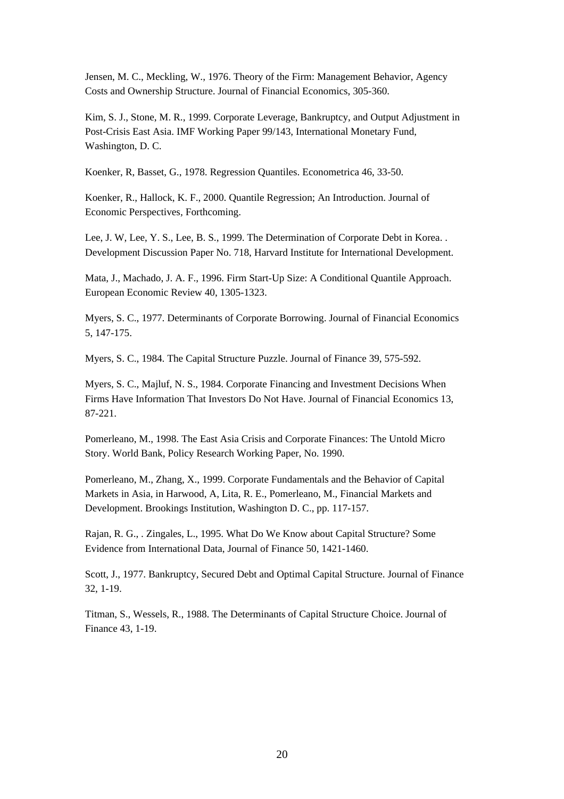Jensen, M. C., Meckling, W., 1976. Theory of the Firm: Management Behavior, Agency Costs and Ownership Structure. Journal of Financial Economics, 305-360.

Kim, S. J., Stone, M. R., 1999. Corporate Leverage, Bankruptcy, and Output Adjustment in Post-Crisis East Asia. IMF Working Paper 99/143, International Monetary Fund, Washington, D. C.

Koenker, R, Basset, G., 1978. Regression Quantiles. Econometrica 46, 33-50.

Koenker, R., Hallock, K. F., 2000. Quantile Regression; An Introduction. Journal of Economic Perspectives*,* Forthcoming.

Lee, J. W, Lee, Y. S., Lee, B. S., 1999. The Determination of Corporate Debt in Korea. . Development Discussion Paper No. 718, Harvard Institute for International Development.

Mata, J., Machado, J. A. F., 1996. Firm Start-Up Size: A Conditional Quantile Approach. European Economic Review 40, 1305-1323.

Myers, S. C., 1977. Determinants of Corporate Borrowing. Journal of Financial Economics 5, 147-175.

Myers, S. C., 1984. The Capital Structure Puzzle. Journal of Finance 39, 575-592.

Myers, S. C., Majluf, N. S., 1984. Corporate Financing and Investment Decisions When Firms Have Information That Investors Do Not Have. Journal of Financial Economics 13, 87-221.

Pomerleano, M., 1998. The East Asia Crisis and Corporate Finances: The Untold Micro Story. World Bank, Policy Research Working Paper, No. 1990.

Pomerleano, M., Zhang, X., 1999. Corporate Fundamentals and the Behavior of Capital Markets in Asia, in Harwood, A, Lita, R. E., Pomerleano, M., Financial Markets and Development. Brookings Institution, Washington D. C., pp. 117-157.

Rajan, R. G., . Zingales, L., 1995. What Do We Know about Capital Structure? Some Evidence from International Data, Journal of Finance 50, 1421-1460.

Scott, J., 1977. Bankruptcy, Secured Debt and Optimal Capital Structure. Journal of Finance 32, 1-19.

Titman, S., Wessels, R., 1988. The Determinants of Capital Structure Choice. Journal of Finance 43, 1-19.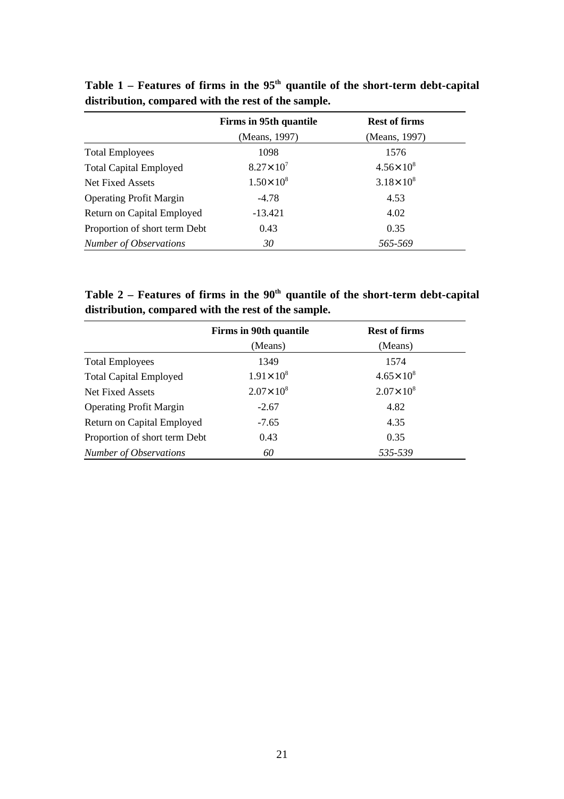|                                | Firms in 95th quantile | <b>Rest of firms</b> |
|--------------------------------|------------------------|----------------------|
|                                | (Means, 1997)          | (Means, 1997)        |
| <b>Total Employees</b>         | 1098                   | 1576                 |
| <b>Total Capital Employed</b>  | $8.27 \times 10^{7}$   | $4.56 \times 10^8$   |
| <b>Net Fixed Assets</b>        | $1.50 \times 10^8$     | $3.18 \times 10^{8}$ |
| <b>Operating Profit Margin</b> | $-4.78$                | 4.53                 |
| Return on Capital Employed     | $-13.421$              | 4.02                 |
| Proportion of short term Debt  | 0.43                   | 0.35                 |
| Number of Observations         | 30                     | 565-569              |

Table 1 – Features of firms in the 95<sup>th</sup> quantile of the short-term debt-capital **distribution, compared with the rest of the sample.**

Table 2 – Features of firms in the 90<sup>th</sup> quantile of the short-term debt-capital **distribution, compared with the rest of the sample.**

|                                | <b>Firms in 90th quantile</b> | <b>Rest of firms</b> |
|--------------------------------|-------------------------------|----------------------|
|                                | (Means)                       | (Means)              |
| <b>Total Employees</b>         | 1349                          | 1574                 |
| <b>Total Capital Employed</b>  | $1.91\times 10^{8}$           | $4.65 \times 10^8$   |
| <b>Net Fixed Assets</b>        | $2.07\times 10^{8}$           | $2.07\times10^{8}$   |
| <b>Operating Profit Margin</b> | $-2.67$                       | 4.82                 |
| Return on Capital Employed     | $-7.65$                       | 4.35                 |
| Proportion of short term Debt  | 0.43                          | 0.35                 |
| <b>Number of Observations</b>  | 60                            | 535-539              |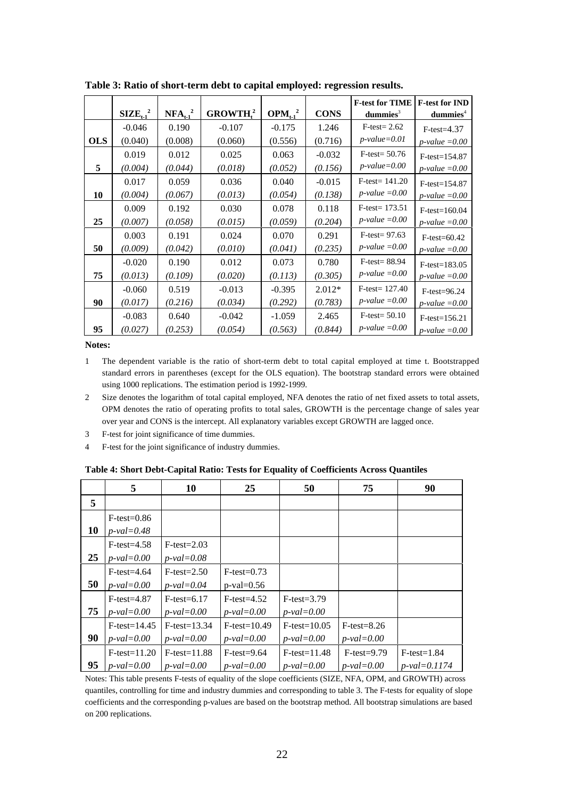|            | $\text{SIZE}_{t-1}^2$ | $NFA_{t-1}^2$ | $GPOWTHt2$ | $OPMt-12$ | <b>CONS</b> | <b>F-test for TIME</b><br>${\rm \bf d}$ ummies $^3$ | <b>F-test for IND</b><br>$d$ ummies $4$ |
|------------|-----------------------|---------------|------------|-----------|-------------|-----------------------------------------------------|-----------------------------------------|
|            | $-0.046$              | 0.190         | $-0.107$   | $-0.175$  | 1.246       | $F-test = 2.62$                                     | $F-test = 4.37$                         |
| <b>OLS</b> | (0.040)               | (0.008)       | (0.060)    | (0.556)   | (0.716)     | $p$ -value=0.01                                     | $p$ -value = 0.00                       |
|            | 0.019                 | 0.012         | 0.025      | 0.063     | $-0.032$    | $F-test = 50.76$                                    | $F-test = 154.87$                       |
| 5          | (0.004)               | (0.044)       | (0.018)    | (0.052)   | (0.156)     | $p$ -value=0.00                                     | $p$ -value = 0.00                       |
|            | 0.017                 | 0.059         | 0.036      | 0.040     | $-0.015$    | $F-test = 141.20$                                   | $F-test = 154.87$                       |
| 10         | (0.004)               | (0.067)       | (0.013)    | (0.054)   | (0.138)     | $p$ -value = 0.00                                   | $p$ -value = 0.00                       |
|            | 0.009                 | 0.192         | 0.030      | 0.078     | 0.118       | $F-test = 173.51$                                   | $F-test = 160.04$                       |
| 25         | (0.007)               | (0.058)       | (0.015)    | (0.059)   | (0.204)     | $p$ -value = 0.00                                   | $p$ -value = 0.00                       |
|            | 0.003                 | 0.191         | 0.024      | 0.070     | 0.291       | $F-test = 97.63$                                    | $F-test = 60.42$                        |
| 50         | (0.009)               | (0.042)       | (0.010)    | (0.041)   | (0.235)     | $p$ -value = 0.00                                   | $p$ -value = 0.00                       |
|            | $-0.020$              | 0.190         | 0.012      | 0.073     | 0.780       | $F-test = 88.94$                                    | $F-test = 183.05$                       |
| 75         | (0.013)               | (0.109)       | (0.020)    | (0.113)   | (0.305)     | $p$ -value = 0.00                                   | $p$ -value = 0.00                       |
|            | $-0.060$              | 0.519         | $-0.013$   | $-0.395$  | $2.012*$    | $F-test = 127.40$                                   | $F-test = 96.24$                        |
| 90         | (0.017)               | (0.216)       | (0.034)    | (0.292)   | (0.783)     | $p$ -value = 0.00                                   | $p$ -value = 0.00                       |
|            | $-0.083$              | 0.640         | $-0.042$   | $-1.059$  | 2.465       | $F-test = 50.10$                                    | $F-test = 156.21$                       |
| 95         | (0.027)               | (0.253)       | (0.054)    | (0.563)   | (0.844)     | $p$ -value = 0.00                                   | $p$ -value = 0.00                       |

**Table 3: Ratio of short-term debt to capital employed: regression results.**

**Notes:**

1 The dependent variable is the ratio of short-term debt to total capital employed at time t. Bootstrapped standard errors in parentheses (except for the OLS equation). The bootstrap standard errors were obtained using 1000 replications. The estimation period is 1992-1999.

- 2 Size denotes the logarithm of total capital employed, NFA denotes the ratio of net fixed assets to total assets, OPM denotes the ratio of operating profits to total sales, GROWTH is the percentage change of sales year over year and CONS is the intercept. All explanatory variables except GROWTH are lagged once.
- 3 F-test for joint significance of time dummies.
- 4 F-test for the joint significance of industry dummies.

#### **Table 4: Short Debt-Capital Ratio: Tests for Equality of Coefficients Across Quantiles**

|    | 5               | 10               | 25              | 50               | 75              | 90              |
|----|-----------------|------------------|-----------------|------------------|-----------------|-----------------|
| 5  |                 |                  |                 |                  |                 |                 |
|    | $F-test = 0.86$ |                  |                 |                  |                 |                 |
| 10 | $p$ -val=0.48   |                  |                 |                  |                 |                 |
|    | $F-test = 4.58$ | $F-test = 2.03$  |                 |                  |                 |                 |
| 25 | $p$ -val=0.00   | $p$ -val=0.08    |                 |                  |                 |                 |
|    | $F-test = 4.64$ | $F-test = 2.50$  | $F-test = 0.73$ |                  |                 |                 |
| 50 | $p$ -val=0.00   | $p$ -val=0.04    | $p$ -val=0.56   |                  |                 |                 |
|    | $F-test = 4.87$ | $F-test = 6.17$  | $F-test = 4.52$ | $F-test = 3.79$  |                 |                 |
| 75 | $p$ -val=0.00   | $p$ -val=0.00    | $p$ -val=0.00   | $p$ -val=0.00    |                 |                 |
|    | $F-test=14.45$  | $F-test = 13.34$ | $F-test=10.49$  | $F-test = 10.05$ | $F-test = 8.26$ |                 |
| 90 | $p$ -val=0.00   | $p$ -val=0.00    | $p$ -val=0.00   | $p$ -val=0.00    | $p$ -val=0.00   |                 |
|    | $F-test=11.20$  | $F-test=11.88$   | $F-test = 9.64$ | $F-test=11.48$   | $F-test = 9.79$ | $F-test = 1.84$ |
| 95 | $p$ -val=0.00   | $p$ -val=0.00    | $p$ -val=0.00   | $p$ -val=0.00    | $p$ -val=0.00   | $p$ -val=0.1174 |

Notes: This table presents F-tests of equality of the slope coefficients (SIZE, NFA, OPM, and GROWTH) across quantiles, controlling for time and industry dummies and corresponding to table 3. The F-tests for equality of slope coefficients and the corresponding p-values are based on the bootstrap method. All bootstrap simulations are based on 200 replications.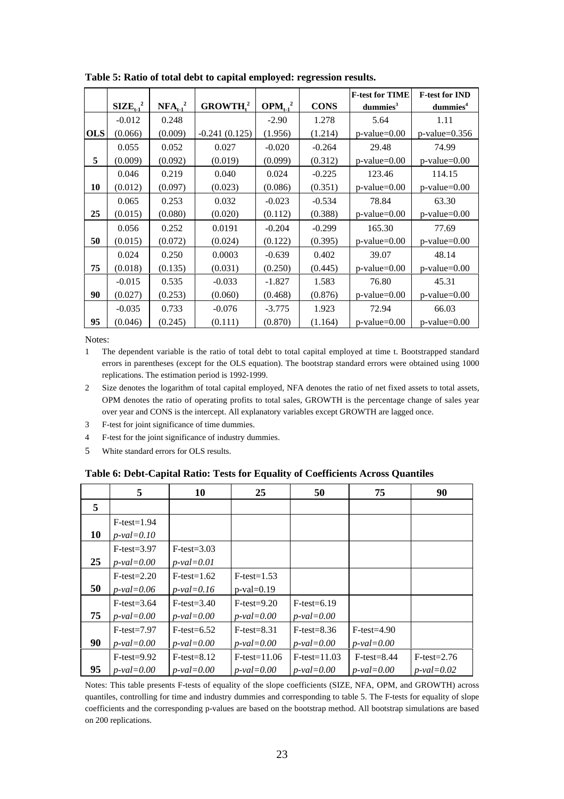|            |                |               |                 |           |             | <b>F-test for TIME</b>  | <b>F-test for IND</b> |
|------------|----------------|---------------|-----------------|-----------|-------------|-------------------------|-----------------------|
|            | $SIZE_{t-1}^2$ | $NFA_{t-1}^2$ | $GPOWTHt2$      | $OPMt-12$ | <b>CONS</b> | $d$ ummies <sup>3</sup> | dummies <sup>4</sup>  |
|            | $-0.012$       | 0.248         |                 | $-2.90$   | 1.278       | 5.64                    | 1.11                  |
| <b>OLS</b> | (0.066)        | (0.009)       | $-0.241(0.125)$ | (1.956)   | (1.214)     | $p$ -value= $0.00$      | $p$ -value=0.356      |
|            | 0.055          | 0.052         | 0.027           | $-0.020$  | $-0.264$    | 29.48                   | 74.99                 |
| 5          | (0.009)        | (0.092)       | (0.019)         | (0.099)   | (0.312)     | $p$ -value= $0.00$      | $p$ -value= $0.00$    |
|            | 0.046          | 0.219         | 0.040           | 0.024     | $-0.225$    | 123.46                  | 114.15                |
| 10         | (0.012)        | (0.097)       | (0.023)         | (0.086)   | (0.351)     | $p$ -value= $0.00$      | $p$ -value= $0.00$    |
|            | 0.065          | 0.253         | 0.032           | $-0.023$  | $-0.534$    | 78.84                   | 63.30                 |
| 25         | (0.015)        | (0.080)       | (0.020)         | (0.112)   | (0.388)     | $p$ -value= $0.00$      | $p$ -value= $0.00$    |
|            | 0.056          | 0.252         | 0.0191          | $-0.204$  | $-0.299$    | 165.30                  | 77.69                 |
| 50         | (0.015)        | (0.072)       | (0.024)         | (0.122)   | (0.395)     | $p$ -value= $0.00$      | $p$ -value= $0.00$    |
|            | 0.024          | 0.250         | 0.0003          | $-0.639$  | 0.402       | 39.07                   | 48.14                 |
| 75         | (0.018)        | (0.135)       | (0.031)         | (0.250)   | (0.445)     | $p$ -value= $0.00$      | $p$ -value= $0.00$    |
|            | $-0.015$       | 0.535         | $-0.033$        | $-1.827$  | 1.583       | 76.80                   | 45.31                 |
| 90         | (0.027)        | (0.253)       | (0.060)         | (0.468)   | (0.876)     | $p$ -value= $0.00$      | $p$ -value= $0.00$    |
|            | $-0.035$       | 0.733         | $-0.076$        | $-3.775$  | 1.923       | 72.94                   | 66.03                 |
| 95         | (0.046)        | (0.245)       | (0.111)         | (0.870)   | (1.164)     | $p$ -value= $0.00$      | $p$ -value= $0.00$    |

**Table 5: Ratio of total debt to capital employed: regression results.**

Notes:

1 The dependent variable is the ratio of total debt to total capital employed at time t. Bootstrapped standard errors in parentheses (except for the OLS equation). The bootstrap standard errors were obtained using 1000 replications. The estimation period is 1992-1999.

- 2 Size denotes the logarithm of total capital employed, NFA denotes the ratio of net fixed assets to total assets, OPM denotes the ratio of operating profits to total sales, GROWTH is the percentage change of sales year over year and CONS is the intercept. All explanatory variables except GROWTH are lagged once.
- 3 F-test for joint significance of time dummies.
- 4 F-test for the joint significance of industry dummies.
- 5 White standard errors for OLS results.

### **Table 6: Debt-Capital Ratio: Tests for Equality of Coefficients Across Quantiles**

|    | 5               | 10              | 25              | 50               | 75              | 90              |
|----|-----------------|-----------------|-----------------|------------------|-----------------|-----------------|
| 5  |                 |                 |                 |                  |                 |                 |
|    | $F-test = 1.94$ |                 |                 |                  |                 |                 |
| 10 | $p$ -val=0.10   |                 |                 |                  |                 |                 |
|    | $F-test = 3.97$ | $F-test = 3.03$ |                 |                  |                 |                 |
| 25 | $p$ -val=0.00   | $p$ -val=0.01   |                 |                  |                 |                 |
|    | $F-test = 2.20$ | $F-test=1.62$   | $F-test = 1.53$ |                  |                 |                 |
| 50 | $p$ -val=0.06   | $p$ -val=0.16   | $p-value=0.19$  |                  |                 |                 |
|    | $F-test = 3.64$ | $F-test = 3.40$ | $F-test = 9.20$ | $F-test = 6.19$  |                 |                 |
| 75 | $p$ -val=0.00   | $p$ -val=0.00   | $p$ -val=0.00   | $p$ -val=0.00    |                 |                 |
|    | $F-test = 7.97$ | $F-test = 6.52$ | $F-test = 8.31$ | $F-test = 8.36$  | $F-test = 4.90$ |                 |
| 90 | $p$ -val=0.00   | $p$ -val=0.00   | $p$ -val=0.00   | $p$ -val=0.00    | $p$ -val=0.00   |                 |
|    | $F-test = 9.92$ | $F-test = 8.12$ | $F-test=11.06$  | $F-test = 11.03$ | $F-test = 8.44$ | $F-test = 2.76$ |
| 95 | $p$ -val=0.00   | $p$ -val=0.00   | $p$ -val=0.00   | $p$ -val=0.00    | $p$ -val=0.00   | $p$ -val=0.02   |

Notes: This table presents F-tests of equality of the slope coefficients (SIZE, NFA, OPM, and GROWTH) across quantiles, controlling for time and industry dummies and corresponding to table 5. The F-tests for equality of slope coefficients and the corresponding p-values are based on the bootstrap method. All bootstrap simulations are based on 200 replications.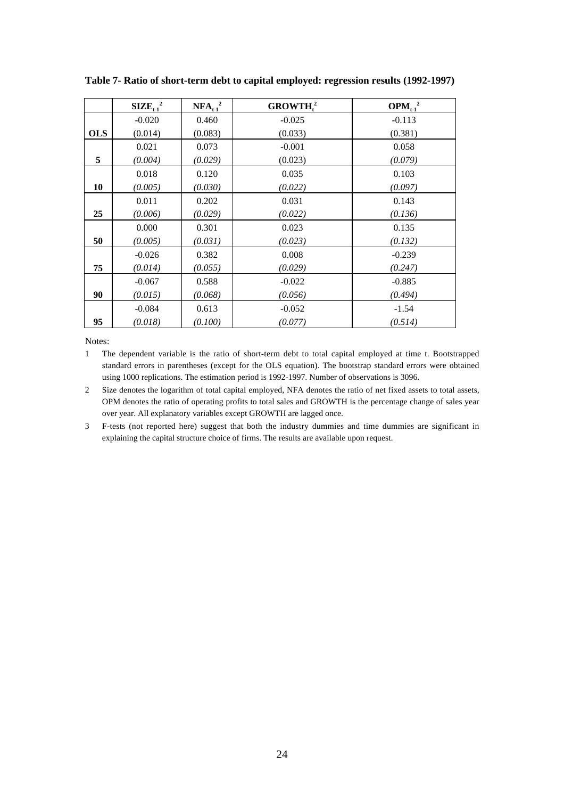|            | $\text{SIZE}_{t-1}^2$ | $NFAt-12$ | $GPOWTHt2$ | $OPMt-12$ |
|------------|-----------------------|-----------|------------|-----------|
|            | $-0.020$              | 0.460     | $-0.025$   | $-0.113$  |
| <b>OLS</b> | (0.014)               | (0.083)   | (0.033)    | (0.381)   |
|            | 0.021                 | 0.073     | $-0.001$   | 0.058     |
| 5          | (0.004)               | (0.029)   | (0.023)    | (0.079)   |
|            | 0.018                 | 0.120     | 0.035      | 0.103     |
| 10         | (0.005)               | (0.030)   | (0.022)    | (0.097)   |
|            | 0.011                 | 0.202     | 0.031      | 0.143     |
| 25         | (0.006)               | (0.029)   | (0.022)    | (0.136)   |
|            | 0.000                 | 0.301     | 0.023      | 0.135     |
| 50         | (0.005)               | (0.031)   | (0.023)    | (0.132)   |
|            | $-0.026$              | 0.382     | 0.008      | $-0.239$  |
| 75         | (0.014)               | (0.055)   | (0.029)    | (0.247)   |
|            | $-0.067$              | 0.588     | $-0.022$   | $-0.885$  |
| 90         | (0.015)               | (0.068)   | (0.056)    | (0.494)   |
|            | $-0.084$              | 0.613     | $-0.052$   | $-1.54$   |
| 95         | (0.018)               | (0.100)   | (0.077)    | (0.514)   |

**Table 7- Ratio of short-term debt to capital employed: regression results (1992-1997)**

Notes:

1 The dependent variable is the ratio of short-term debt to total capital employed at time t. Bootstrapped standard errors in parentheses (except for the OLS equation). The bootstrap standard errors were obtained using 1000 replications. The estimation period is 1992-1997. Number of observations is 3096.

2 Size denotes the logarithm of total capital employed, NFA denotes the ratio of net fixed assets to total assets, OPM denotes the ratio of operating profits to total sales and GROWTH is the percentage change of sales year over year. All explanatory variables except GROWTH are lagged once.

3 F-tests (not reported here) suggest that both the industry dummies and time dummies are significant in explaining the capital structure choice of firms. The results are available upon request.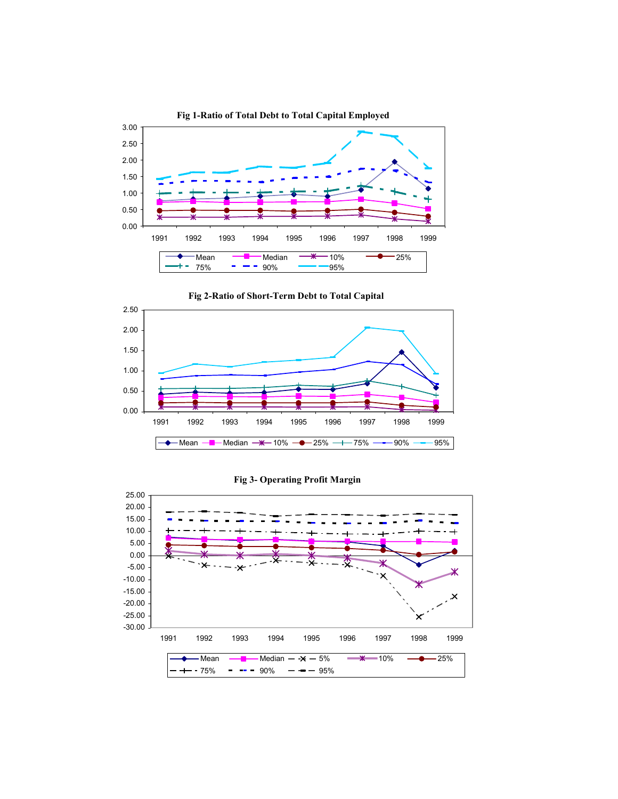





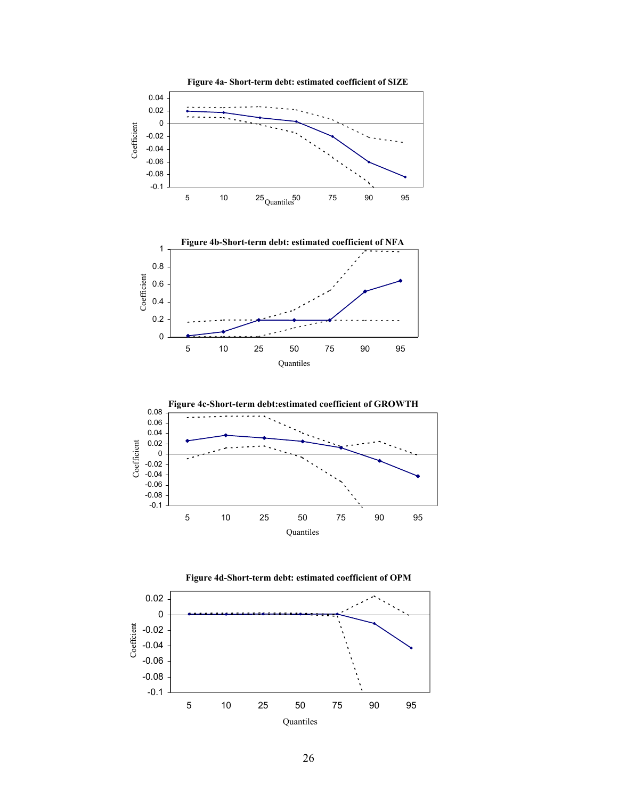



Quantiles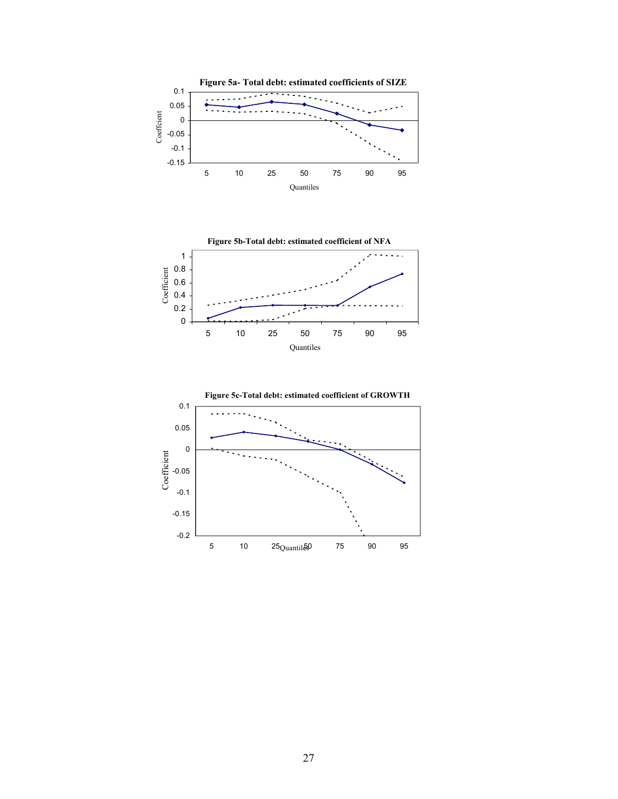



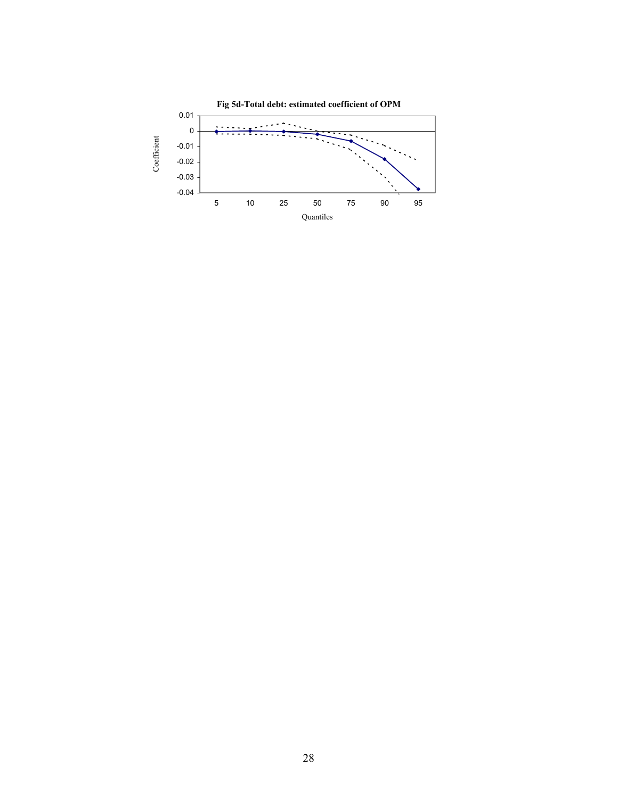